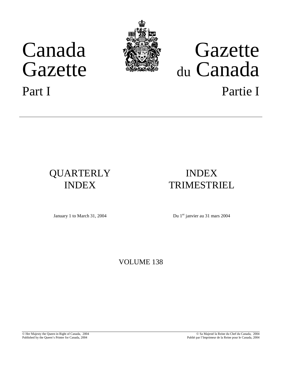# Canada Gazette





# Gazette du Canada Part I Partie I

## QUARTERLY INDEX

## INDEX TRIMESTRIEL

January 1 to March 31, 2004 Du 1<sup>er</sup> janvier au 31 mars 2004

### VOLUME 138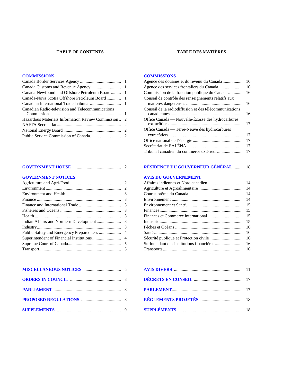#### **TABLE OF CONTENTS TABLE DES MATIÈRES**

#### **[COMMISSIONS](#page-2-0) [COMMISSIONS](#page-16-0)**

| Canadian Radio-television and Telecommunications    |  |
|-----------------------------------------------------|--|
|                                                     |  |
| Hazardous Materials Information Review Commission 2 |  |
|                                                     |  |
|                                                     |  |
|                                                     |  |

| Agence des douanes et du revenu du Canada              | 16  |
|--------------------------------------------------------|-----|
|                                                        | 16  |
| Commission de la fonction publique du Canada           | 16  |
| Conseil de contrôle des renseignements relatifs aux    |     |
|                                                        | 16  |
| Conseil de la radiodiffusion et des télécommunications | 16  |
| Office Canada — Nouvelle-Écosse des hydrocarbures      | 17  |
| Office Canada — Terre-Neuve des hydrocarbures          |     |
|                                                        | 17  |
|                                                        | 17  |
|                                                        | 17  |
|                                                        | -17 |

#### **EXECUTE BUGOUVERNEUR GÉNÉRAL** ............. 18

#### **[GOVERNMENT NOTICES](#page-3-0) [AVIS DU GOUVERNEMENT](#page-14-0)**

| 14 |
|----|
| 14 |
| 14 |
| 14 |
| 15 |
| 15 |
| 15 |
| 15 |
| 16 |
| 16 |
| 16 |
| 16 |
|    |
|    |

|  | <b>ORDERS IN COUNCIL EXECUTE:</b> 8 DÉCRETS EN CONSEIL EXECUTIVE IT 17 |  |
|--|------------------------------------------------------------------------|--|
|  |                                                                        |  |
|  |                                                                        |  |
|  |                                                                        |  |
|  |                                                                        |  |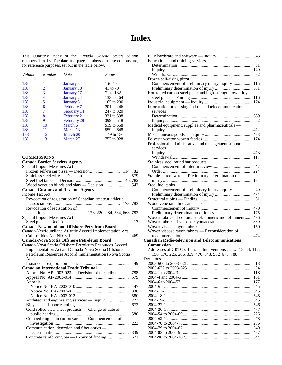## **Index**

<span id="page-2-0"></span>This Quarterly Index of the *Canada Gazette* covers edition numbers 1 to 13. The date and page numbers of these editions are, for reference purposes, set out in the table below.

| Volume | <b>Number</b> | Date              | Pages      |
|--------|---------------|-------------------|------------|
| 138    |               | January 3         | 1 to $40$  |
| 138    | 2             | <b>January 10</b> | 41 to 70   |
| 138    | 3             | <b>January</b> 17 | 71 to 132  |
| 138    | 4             | <b>January 24</b> | 133 to 164 |
| 138    | 5             | January 31        | 165 to 200 |
| 138    | 6             | February 7        | 201 to 246 |
| 138    | 7             | February 14       | 247 to 320 |
| 138    | 8             | February 21       | 321 to 398 |
| 138    | 9             | February 28       | 399 to 518 |
| 138    | 10            | March 6           | 519 to 558 |
| 138    | 11            | March 13          | 559 to 648 |
| 138    | 12            | March 20          | 649 to 756 |
| 138    | 13            | March 27          | 757 to 928 |

#### **COMMISSIONS**

#### **Canada Border Services Agency**

| <b>Special Import Measures Act</b>                      |            |
|---------------------------------------------------------|------------|
|                                                         |            |
|                                                         |            |
|                                                         |            |
|                                                         |            |
| <b>Canada Customs and Revenue Agency</b>                |            |
| Income Tax Act                                          |            |
| Revocation of registration of Canadian amateur athletic |            |
|                                                         |            |
| Revocation of registration of                           |            |
|                                                         |            |
| <b>Special Import Measures Act</b>                      |            |
|                                                         | 17         |
| Canada-Newfoundland Offshore Petroleum Board            |            |
| Canada-Newfoundland Atlantic Accord Implementation Act  |            |
|                                                         | 469        |
| Canada-Nova Scotia Offshore Petroleum Board             |            |
| Canada-Nova Scotia Offshore Petroleum Resources Accord  |            |
| Implementation Act and Canada-Nova Scotia Offshore      |            |
| Petroleum Resources Accord Implementation (Nova Scotia) |            |
| Act                                                     |            |
|                                                         | 149        |
| <b>Canadian International Trade Tribunal</b>            |            |
| Appeal No. AP-2002-023 - Decision of the Tribunal       | 788        |
|                                                         | 579        |
| Appeals                                                 |            |
|                                                         | 47         |
|                                                         | 338        |
|                                                         | 580        |
| Architect and engineering services — Inquiry            | 223        |
|                                                         | 672        |
|                                                         |            |
| Cold-rolled steel sheet products - Change of date of    |            |
|                                                         | 580        |
| Combed ring-spun cotton yarns - Commencement of         |            |
|                                                         | 223        |
| Communication, detection and fiber optics —             |            |
|                                                         | 339<br>671 |

| Educational and training services                         |            |
|-----------------------------------------------------------|------------|
|                                                           | 51         |
|                                                           | 149        |
|                                                           | 582        |
| Frozen self-rising pizza                                  |            |
| Commencement of preliminary injury inquiry                | 115        |
|                                                           | 581        |
| Hot-rolled carbon steel plate and high-strength low-alloy |            |
|                                                           | 116        |
|                                                           | 174        |
| Information processing and related telecommunications     |            |
| services                                                  |            |
|                                                           | 669        |
|                                                           | 52         |
| Medical equipment, supplies and pharmaceuticals —         |            |
|                                                           | 472        |
|                                                           | 473        |
|                                                           | 174        |
| Professional, administrative and management support       |            |
| services                                                  |            |
|                                                           | 473        |
|                                                           | 117        |
| Stainless steel round bar products                        |            |
|                                                           | 47         |
|                                                           | 224        |
| Stainless steel wire - Preliminary determination of       |            |
|                                                           | 174        |
| Steel fuel tanks                                          |            |
| Commencement of preliminary injury inquiry                | 49         |
|                                                           | 474        |
|                                                           |            |
|                                                           | 51         |
| Wood venetian blinds and slats                            |            |
|                                                           | 470        |
|                                                           | 175        |
| Woven fabrics of cotton and elastomeric monofilament      | 476        |
|                                                           | 339        |
|                                                           | 150        |
| Woven viscose rayon fabrics - Reconsideration of          |            |
|                                                           | 474        |
| <b>Canadian Radio-television and Telecommunications</b>   |            |
| <b>Commission</b>                                         |            |
| Addresses of CRTC offices — Interventions<br>18, 54, 117, |            |
| 150, 176, 225, 286, 339, 476, 543, 582, 673, 788          |            |
| Decisions                                                 |            |
|                                                           | 18         |
|                                                           | 54         |
|                                                           | 118        |
|                                                           | 151        |
|                                                           | 177        |
|                                                           | 545        |
|                                                           | 545        |
|                                                           | 545        |
|                                                           | 545        |
|                                                           | 546        |
|                                                           | 477        |
|                                                           | 226        |
|                                                           | 478        |
|                                                           | 286        |
|                                                           | 340        |
|                                                           | 477<br>544 |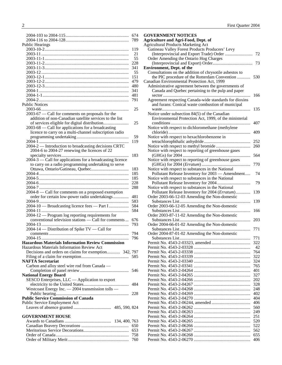<span id="page-3-0"></span>

|                                                             | 674  |
|-------------------------------------------------------------|------|
|                                                             | 789  |
| <b>Public Hearings</b>                                      |      |
|                                                             | 119  |
|                                                             | 21   |
|                                                             | 55   |
|                                                             | 228  |
|                                                             | 341  |
|                                                             | 55   |
|                                                             | 151  |
|                                                             | 479  |
|                                                             | 480  |
|                                                             | 341  |
|                                                             | 481  |
|                                                             | 791  |
| <b>Public Notices</b>                                       |      |
|                                                             | 25   |
| 2003-67 — Call for comments on proposals for the            |      |
| addition of non-Canadian satellite services to the list     |      |
| of services eligible for digital distribution               | 25   |
| 2003-68 — Call for applications for a broadcasting          |      |
| licence to carry on a multi-channel subscription radio      |      |
|                                                             | 59   |
|                                                             | 119  |
| 2004-2 — Introduction to broadcasting decisions CRTC        |      |
| 2004-6 to 2004-27 renewing the licences of 22               |      |
|                                                             | 183  |
| $2004-3$ - Call for applications for a broadcasting licence |      |
| to carry on a radio programming undertaking to serve        |      |
|                                                             | 183  |
|                                                             | 185  |
|                                                             | 185  |
|                                                             | 228  |
|                                                             | 288  |
| 2004-8 - Call for comments on a proposed exemption          |      |
| order for certain low-power radio undertakings              | 481  |
|                                                             | 583  |
| 2004-10 - Broadcasting licence fees - Part I                | 584  |
|                                                             | 584  |
| 2004-12 - Program log reporting requirements for            |      |
| conventional television stations — Call for comments        | 676  |
|                                                             | 793  |
| 2004-14 - Distribution of Spike TV - Call for               |      |
|                                                             | 794  |
|                                                             | 796  |
| <b>Hazardous Materials Information Review Commission</b>    |      |
| Hazardous Materials Information Review Act                  |      |
| Decisions and orders on claims for exemption 342, 797       |      |
|                                                             |      |
| <b>NAFTA Secretariat</b>                                    |      |
| Carbon and alloy steel wire rod from Canada —               |      |
|                                                             | 546  |
| <b>National Energy Board</b>                                |      |
| SESCO Enterprises, LLC — Application to export              |      |
|                                                             | 484  |
| Westcoast Energy Inc. - 2004 transmission tolls -           |      |
|                                                             | 228  |
| <b>Public Service Commission of Canada</b>                  |      |
| Public Service Employment Act                               |      |
|                                                             |      |
|                                                             |      |
| <b>GOVERNMENT HOUSE</b>                                     |      |
|                                                             |      |
|                                                             |      |
| <b>Meritorious Service Decorations</b>                      | 653. |

| <b>GOVERNMENT NOTICES</b>                                                                   |            |
|---------------------------------------------------------------------------------------------|------------|
| <b>Agriculture and Agri-Food, Dept. of</b>                                                  |            |
| <b>Agricultural Products Marketing Act</b>                                                  |            |
| Gatineau Valley Forest Products Producers' Levy                                             |            |
|                                                                                             | 72         |
| Order Amending the Ontario Hog Charges                                                      |            |
|                                                                                             |            |
| <b>Environment, Dept. of the</b><br>Consultations on the addition of chrysotile asbestos to |            |
| the PIC procedure of the Rotterdam Convention                                               | 530        |
| Canadian Environmental Protection Act, 1999                                                 |            |
| Administrative agreement between the governments of                                         |            |
| Canada and Quebec pertaining to the pulp and paper                                          |            |
|                                                                                             | 166        |
| Agreement respecting Canada-wide standards for dioxins                                      |            |
| and furans: Conical waste combustion of municipal                                           |            |
|                                                                                             | 135        |
| Notice under subsection 84(5) of the Canadian                                               |            |
| Environmental Protection Act, 1999, of the ministerial                                      |            |
|                                                                                             | 407        |
| Notice with respect to dichloromethane (methylene                                           |            |
|                                                                                             | 409        |
| Notice with respect to hexachlorobenzene in                                                 |            |
|                                                                                             | 252        |
| Notice with respect to reporting of greenhouse gases                                        | 260        |
|                                                                                             | 564        |
| Notice with respect to reporting of greenhouse gases                                        |            |
|                                                                                             | 770        |
| Notice with respect to substances in the National                                           |            |
| Pollutant Release Inventory for 2003 - Amendment                                            | 74         |
| Notice with respect to substances in the National                                           |            |
|                                                                                             | 79         |
| Notice with respect to substances in the National                                           |            |
| Pollutant Release Inventory for 2004 (Erratum)                                              | 139        |
| Order 2003-66-12-03 Amending the Non-domestic                                               |            |
|                                                                                             | 139        |
| Order 2003-66-12-05 Amending the Non-domestic                                               |            |
|                                                                                             | 166        |
| Order 2003-87-11-02 Amending the Non-domestic                                               | 203        |
| Order 2004-66-01-02 Amending the Non-domestic                                               |            |
|                                                                                             | 771        |
| Order 2004-87-01-02 Amending the Non-domestic                                               |            |
|                                                                                             | 771        |
|                                                                                             | 322        |
|                                                                                             | 42         |
|                                                                                             | 764        |
|                                                                                             | 322        |
|                                                                                             | 324        |
|                                                                                             | 765        |
|                                                                                             | 401        |
|                                                                                             | 327        |
|                                                                                             | 202<br>328 |
|                                                                                             | 248        |
|                                                                                             | 402        |
|                                                                                             | 404        |
|                                                                                             | 406        |
|                                                                                             | 560        |
|                                                                                             | 249        |
|                                                                                             | 251        |
|                                                                                             | 520        |
|                                                                                             | 522        |
|                                                                                             | 562        |
|                                                                                             | 655        |
|                                                                                             | 406        |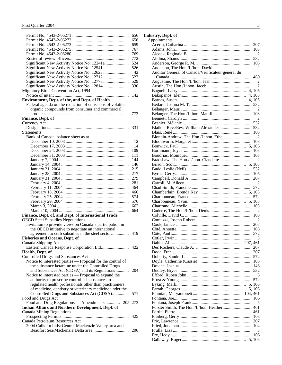|                                                                                                            | 656        |
|------------------------------------------------------------------------------------------------------------|------------|
|                                                                                                            | 658        |
|                                                                                                            | 659        |
|                                                                                                            | 767        |
|                                                                                                            | 769        |
|                                                                                                            | 772        |
|                                                                                                            | 524        |
|                                                                                                            | 526        |
|                                                                                                            | 42<br>527  |
|                                                                                                            | 529        |
|                                                                                                            | 330        |
| Migratory Birds Convention Act, 1994                                                                       |            |
|                                                                                                            | 142        |
| Environment, Dept. of the, and Dept. of Health                                                             |            |
| Federal agenda on the reduction of emissions of volatile                                                   |            |
| organic compounds from consumer and commercial                                                             |            |
|                                                                                                            | 773        |
| Finance, Dept. of                                                                                          |            |
| Currency Act                                                                                               |            |
|                                                                                                            | 331        |
| <b>Statements</b>                                                                                          |            |
| Bank of Canada, balance sheet as at                                                                        |            |
|                                                                                                            | 12         |
|                                                                                                            | 14         |
|                                                                                                            | 109        |
|                                                                                                            | 111        |
|                                                                                                            | 144        |
|                                                                                                            | 146        |
|                                                                                                            | 215        |
|                                                                                                            | 217        |
|                                                                                                            | 279        |
|                                                                                                            | 281<br>464 |
|                                                                                                            | 466        |
|                                                                                                            | 574        |
|                                                                                                            | 576        |
|                                                                                                            | 662        |
|                                                                                                            | 664        |
| Finance, Dept. of, and Dept. of International Trade                                                        |            |
| <b>OECD Steel Subsidies Negotiations</b>                                                                   |            |
| Invitation to provide views on Canada's participation in                                                   |            |
| the OECD initiative to negotiate an international                                                          |            |
| agreement to curb subsidies in the steel sector                                                            | 419        |
| <b>Fisheries and Oceans, Dept. of</b>                                                                      |            |
| Canada Shipping Act                                                                                        |            |
| Eastern Canada Response Corporation Ltd 422                                                                |            |
| Health, Dept. of                                                                                           |            |
| Controlled Drugs and Substances Act                                                                        |            |
| Notice to interested parties - Proposal for the control of                                                 |            |
| the substance ketamine under the Controlled Drugs                                                          |            |
| and Substances Act (CDSA) and its Regulations                                                              | 204        |
| Notice to interested parties - Proposal to expand the                                                      |            |
| authority to prescribe controlled substances to<br>regulated health professionals other than practitioners |            |
| of medicine, dentistry or veterinary medicine under the                                                    |            |
| Controlled Drugs and Substances Act (CDSA)                                                                 | 571        |
| Food and Drugs Act                                                                                         |            |
| Food and Drug Regulations - Amendments  205, 273                                                           |            |
| Indian Affairs and Northern Development, Dept. of                                                          |            |
| <b>Canada Mining Regulations</b>                                                                           |            |
|                                                                                                            | 425        |
| Canada Petroleum Resources Act                                                                             |            |
| 2004 Calls for bids: Central Mackenzie Valley area and                                                     |            |
|                                                                                                            | 206        |
|                                                                                                            |            |

#### **Industry, Dept. of**

|  |  | Appointments  |  |
|--|--|---------------|--|
|  |  |               |  |
|  |  | $\sim$ $\sim$ |  |

| ٠۲P                                               | 207            |
|---------------------------------------------------|----------------|
|                                                   | 103            |
|                                                   | 2              |
|                                                   | 532            |
|                                                   | 103            |
|                                                   | $\overline{2}$ |
|                                                   |                |
| Auditor General of Canada/Vérificateur général du | 460            |
|                                                   |                |
|                                                   | 2              |
|                                                   | $\overline{2}$ |
|                                                   |                |
|                                                   |                |
|                                                   |                |
|                                                   | 532            |
|                                                   | $\overline{2}$ |
|                                                   | 103            |
|                                                   | $\overline{2}$ |
|                                                   | 532            |
|                                                   | 532            |
|                                                   | 103            |
|                                                   | $\overline{2}$ |
|                                                   | 103            |
|                                                   |                |
|                                                   | 103            |
|                                                   | 103            |
|                                                   | 2              |
|                                                   |                |
|                                                   |                |
|                                                   | 532            |
|                                                   |                |
|                                                   |                |
|                                                   |                |
|                                                   | 572            |
|                                                   |                |
|                                                   | 572            |
|                                                   |                |
|                                                   | 103            |
|                                                   | $\overline{2}$ |
|                                                   | 103            |
|                                                   |                |
|                                                   | 207            |
|                                                   |                |
|                                                   |                |
|                                                   | 3              |
|                                                   |                |
|                                                   |                |
|                                                   | 207            |
|                                                   | 572            |
|                                                   | 103            |
|                                                   |                |
|                                                   | 143            |
|                                                   | 532            |
|                                                   | 3              |
|                                                   | 572            |
|                                                   |                |
|                                                   |                |
|                                                   |                |
|                                                   | 106            |
|                                                   | 5              |
|                                                   |                |
|                                                   | 461            |
|                                                   | 461            |
|                                                   | 103            |
|                                                   | 207            |
|                                                   | 104            |
|                                                   | 3              |
|                                                   | 106            |
|                                                   |                |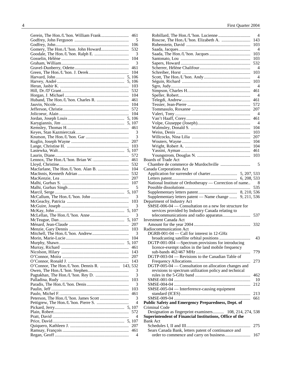|                                               | 461      |
|-----------------------------------------------|----------|
|                                               | 5        |
|                                               | 106      |
|                                               | 532      |
|                                               | 3        |
|                                               | 104      |
|                                               | - 3      |
|                                               | 461      |
|                                               | 104      |
|                                               |          |
|                                               | 103      |
|                                               | 532      |
|                                               |          |
|                                               | 461      |
|                                               |          |
|                                               | 572      |
|                                               |          |
|                                               |          |
|                                               |          |
|                                               | 461      |
|                                               | 3        |
|                                               | 3        |
|                                               | 207      |
|                                               | 103      |
|                                               |          |
|                                               | 572      |
|                                               | 461      |
|                                               | 532      |
|                                               |          |
|                                               | 532      |
|                                               | 207      |
|                                               | 107      |
|                                               | 5        |
|                                               |          |
|                                               |          |
|                                               |          |
|                                               | 3        |
|                                               | 103      |
|                                               | 3        |
|                                               |          |
|                                               | 3        |
|                                               |          |
|                                               |          |
|                                               |          |
|                                               | 3        |
|                                               |          |
|                                               | 461      |
|                                               | 143      |
|                                               | 207      |
|                                               | 143      |
|                                               |          |
| O'Connor, The Hon./L'hon. Dennis R.  143, 532 | 3        |
|                                               | 3        |
|                                               | 103      |
|                                               | 3        |
|                                               | 103      |
|                                               | 461      |
|                                               | 3        |
|                                               | 4        |
|                                               |          |
|                                               | 572      |
|                                               | 4        |
|                                               |          |
|                                               | 207      |
|                                               | 461<br>4 |

|                                                                                       | 4              |
|---------------------------------------------------------------------------------------|----------------|
|                                                                                       | 143            |
|                                                                                       | 103            |
|                                                                                       | 4              |
|                                                                                       | 103            |
|                                                                                       | 103            |
|                                                                                       | 532            |
|                                                                                       | 4              |
|                                                                                       | 103            |
|                                                                                       | 4              |
|                                                                                       | 103            |
|                                                                                       | $\overline{4}$ |
|                                                                                       | 461            |
|                                                                                       | 4              |
|                                                                                       | 461            |
|                                                                                       | 572            |
|                                                                                       | 207            |
|                                                                                       | 4              |
|                                                                                       | 461            |
|                                                                                       | 4              |
|                                                                                       | 104            |
|                                                                                       | 103            |
|                                                                                       | 207            |
|                                                                                       | 104            |
|                                                                                       | 104            |
|                                                                                       | 461            |
|                                                                                       | 103            |
| Boards of Trade Act                                                                   |                |
|                                                                                       | 5              |
| Canada Corporations Act                                                               |                |
|                                                                                       |                |
|                                                                                       |                |
| National Institute of Orthotherapy — Correction of name                               | 8              |
|                                                                                       |                |
|                                                                                       | 535            |
|                                                                                       |                |
|                                                                                       |                |
| Supplementary letters patent - Name change  9, 211, 536<br>Department of Industry Act |                |
| SMSE-006-04 — Consultation on a new fee structure for                                 |                |
|                                                                                       |                |
| services provided by Industry Canada relating to                                      | 537            |
| Investment Canada Act                                                                 |                |
|                                                                                       | 332            |
| Radiocommunication Act                                                                |                |
| DGRB-001-04 — Call for interest in 12-GHz                                             |                |
|                                                                                       | 43             |
|                                                                                       |                |
| DGTP-001-004 -Spectrum provisions for introducing                                     |                |
| licence-exempt radios in the land mobile frequency                                    | 779            |
|                                                                                       |                |
| DGTP-003-04 — Revisions to the Canadian Table of                                      | 273            |
|                                                                                       |                |
| DGTP-005-04 — Consultation on allocation changes and                                  |                |
| revisions to spectrum utilization policy and technical                                |                |
|                                                                                       | 462            |
|                                                                                       | 10             |
|                                                                                       | 212            |
| SMSE-005-04 — Interference-causing equipment                                          | 213            |
|                                                                                       | 661            |
|                                                                                       |                |
| <b>Public Safety and Emergency Preparedness, Dept. of</b><br>Criminal Code            |                |
|                                                                                       |                |
| Designation as fingerprint examiners 108, 214, 274, 538                               |                |
| Superintendent of Financial Institutions, Office of the<br><b>Bank Act</b>            |                |
|                                                                                       | 275            |
|                                                                                       |                |
| Sears Canada Bank, letters patent of continuance and                                  | 167            |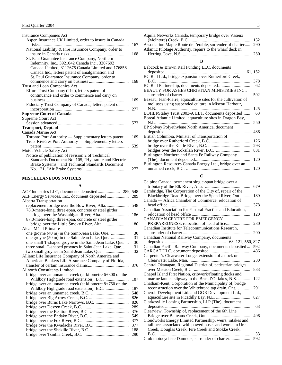<span id="page-6-0"></span>

| <b>Insurance Companies Act</b>                        |     |
|-------------------------------------------------------|-----|
| Aspen Insurance UK Limited, order to insure in Canada |     |
| $ri$ sks                                              | 167 |
| National Liability & Fire Insurance Company, order to |     |
|                                                       | 168 |
| St. Paul Guarantee Insurance Company, Northern        |     |
| Indemnity, Inc., 3921042 Canada Inc., 3207692         |     |
| Canada Limited, 3112675 Canada Limited and 176856     |     |
| Canada Inc., letters patent of amalgamation and       |     |
| St. Paul Guarantee Insurance Company, order to        |     |
|                                                       | 168 |
| Trust and Loan Companies Act                          |     |
| Effort Trust Company (The), letters patent of         |     |
| continuance and order to commence and carry on        |     |
|                                                       | 169 |
| Fiduciary Trust Company of Canada, letters patent of  |     |
|                                                       | 277 |
| <b>Supreme Court of Canada</b>                        |     |
| Supreme Court Act                                     |     |
|                                                       | 573 |
| <b>Transport, Dept. of</b>                            |     |
| Canada Marine Act                                     |     |
| Toronto Port Authority - Supplementary letters patent | 169 |
| Trois-Rivières Port Authority — Supplementary letters |     |
|                                                       | 539 |
| Motor Vehicle Safety Act                              |     |
| Notice of publication of revision 2 of Technical      |     |
| Standards Document No. 105, "Hydraulic and Electric   |     |
| Brake Systems," and Technical Standards Document      |     |
|                                                       | 277 |
|                                                       |     |

#### **MISCELLANEOUS NOTICES**

#### **A**

|                                                         | 289 |
|---------------------------------------------------------|-----|
| Alberta Transportation                                  |     |
|                                                         | 548 |
| 78.0-metre-long, three-span, concrete or steel girder   |     |
|                                                         | 186 |
| 87.0-metre-long, three-span, concrete or steel girder   |     |
|                                                         | 186 |
| Alcan Métal Primaire                                    |     |
| one groyne (40 m) in the Saint-Jean Lake, Que.          | 30  |
| one groyne (50 m) in the Saint-Jean Lake, Que.          | 31  |
| one small T-shaped groyne in the Saint-Jean Lake, Que.  | 30  |
| three small T-shaped groynes in Saint-Jean Lake, Que.   | 31  |
|                                                         | 32  |
| Allianz Life Insurance Company of North America and     |     |
| American Bankers Life Assurance Company of Florida,     |     |
|                                                         | 376 |
| <b>Allnorth Consultants Limited</b>                     |     |
| bridge over an unnamed creek (at kilometre 6+300 on the |     |
|                                                         | 187 |
| bridge over an unnamed creek (at kilometre 8+750 on the |     |
| Wildboy Highgrade road extension), B.C.                 | 187 |
|                                                         | 548 |
|                                                         | 826 |
|                                                         | 826 |
|                                                         | 289 |
|                                                         | 376 |
|                                                         | 549 |
|                                                         | 377 |
|                                                         | 377 |
|                                                         | 188 |
|                                                         | 290 |
|                                                         |     |

| Aquila Networks Canada, temporary bridge over Vaseux          |  |
|---------------------------------------------------------------|--|
|                                                               |  |
| Association Maple Route de l'érable, surrender of charter 290 |  |
| Atlantic Pilotage Authority, repairs to the wharf deck in     |  |
|                                                               |  |
|                                                               |  |

#### **B**

| Babcock & Brown Rail Funding LLC, documents                   |         |
|---------------------------------------------------------------|---------|
|                                                               | 61, 152 |
| BC Rail Ltd., bridge expansion over Rutherford Creek,         |         |
| B.C. ………………………………………………………………………                              | 378     |
|                                                               | 62      |
| BEAUTY FOR ASHES CHRISTIAN MINISTRIES INC.,                   |         |
|                                                               | 592     |
| Bezeau, Jean-Pierre, aquaculture sites for the cultivation of |         |
| molluscs using suspended culture in Miscou Harbour,           |         |
|                                                               | 125     |
| BOHLI/Staley Trust 2003-A LLT, documents deposited            | 63      |
| Boreal Atlantic Limited, aquaculture sites in Dragon Bay,     |         |
| N.L.                                                          | 550     |
| BP Solvay Polyethylene North America, document                |         |
| deposited                                                     | 486     |
| British Columbia, Minister of Transportation of               |         |
|                                                               | 126     |
|                                                               | 293     |
|                                                               | 831     |
| Burlington Northern and Santa Fe Railway Company              |         |
|                                                               | 120     |
| Burlington Resources Canada Energy Ltd., bridge over an       |         |
|                                                               | 120     |

#### **C**

| Calpine Canada, permanent single-span bridge over a        |     |
|------------------------------------------------------------|-----|
|                                                            | 679 |
| Cambridge, The Corporation of the City of, repair of the   |     |
| Blackbridge Road Bridge over the Speed River, Ont.         | 189 |
| Canada — Africa Chamber of Commerce, relocation of         |     |
|                                                            | 378 |
| Canadian Association for Pastoral Practice and Education,  |     |
|                                                            | 120 |
| CANADIAN CENTRE FOR EMERGENCY                              |     |
| PREPAREDNESS, relocation of head office                    | 230 |
| Canadian Institute for Telecommunications Research,        |     |
|                                                            | 290 |
| Canadian National Railway Company, documents               |     |
|                                                            |     |
| Canadian Pacific Railway Company, documents deposited      | 592 |
|                                                            | 486 |
| Carpenter's Clearwater Lodge, extension of a dock on       |     |
|                                                            | 230 |
| Central Okanagan, Regional District of, pedestrian bridges |     |
|                                                            | 833 |
| Chapel Island First Nation, cribwork/floating docks and    |     |
| marine launch slipway in the Bras d'Or lakes, N.S.         | 122 |
| Chatham-Kent, Corporation of the Municipality of, bridge   |     |
| reconstruction over the Whitebread tap drain, Ont.         | 291 |
| Cherob Development Ltd. and GGR Development Ltd.,          |     |
|                                                            | 827 |
| Clarkesville Leasing Partnership, LLP (The), document      |     |
|                                                            | 63  |
| Clearview, Township of, replacement of the 6th Line        |     |
|                                                            | 496 |
| Cloudworks Energy Limited Partnership, weirs, intakes and  |     |
| tailraces associated with powerhouses and works in Ure     |     |
| Creek, Douglas Creek, Fire Creek and Stokke Creek,         |     |
|                                                            | 33  |
| Club motocycliste Damners, surrender of charter            | 592 |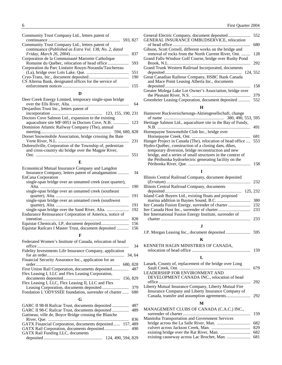| Community Trust Company Ltd., letters patent of        |     |
|--------------------------------------------------------|-----|
| 593, 827                                               |     |
| Community Trust Company Ltd., letters patent of        |     |
| continuance (Published as Extra Vol. 138, No. 2, dated |     |
|                                                        | 837 |
| Corporation de la Communauté Maronite Catholique       |     |
|                                                        | 593 |
| Corporation du Parc Linéaire Rouyn-Noranda/Taschereau  |     |
|                                                        | 551 |
|                                                        | 190 |
| CS Alterna Bank, designated offices for the service of |     |
|                                                        | 155 |

#### **D**

| Deer Creek Energy Limited, temporary single-span bridge   |     |
|-----------------------------------------------------------|-----|
|                                                           | 64  |
| Desjarding Trust Inc., letters patent of                  |     |
|                                                           |     |
| Doctors Cove Salmon Ltd., expansion to the existing       |     |
| aquaculture site MF-0051 in Doctors Cove, N.B.  123       |     |
| Dominion Atlantic Railway Company (The), annual           |     |
|                                                           |     |
| Dorset Snowmobile Association, bridge crossing the Baie   |     |
|                                                           | 231 |
| Dubreuilville, Corporation of the Township of, pedestrian |     |
| and cross-country ski bridge over the Magpie River,       |     |
| Ont.                                                      | 551 |
|                                                           |     |

#### **E**

| Economical Mutual Insurance Company and Langdon          |     |
|----------------------------------------------------------|-----|
| Insurance Company, letters patent of amalgamation        | 34  |
| EnCana Corporation                                       |     |
| single-span bridge over an unnamed creek (east quarter), |     |
|                                                          | 190 |
| single-span bridge over an unnamed creek (southeast)     |     |
|                                                          | 191 |
| single-span bridge over an unnamed creek (southwest)     |     |
|                                                          | 191 |
|                                                          | 192 |
| Endurance Reinsurance Corporation of America, notice of  |     |
|                                                          | 828 |
|                                                          | 156 |
| Equistar Railcars I Master Trust, document deposited     | 156 |
|                                                          |     |

#### **F**

| Federated Women's Institute of Canada, relocation of head |
|-----------------------------------------------------------|
| 34                                                        |
| Fidelity Investments Life Insurance Company, application  |
|                                                           |
| Financial Security Assurance Inc., application for an     |
| 680, 828                                                  |
| First Union Rail Corporation, documents deposited 487     |
| Flex Leasing I, LLC and Flex Leasing Corporation,         |
|                                                           |
| Flex Leasing I, LLC, Flex Leasing II, LLC and Flex        |
|                                                           |
| Fondation L'ODYSSÉE foundation, surrender of charter 680  |
| G                                                         |
|                                                           |
| GARC II 98-B Railcar Trust, documents deposited<br>487    |
| GARC II 98-C Railcar Trust, documents deposited<br>489    |
| Gatineau, ville de, Boyce Bridge crossing the Blanche     |
| 836                                                       |
| GATX Financial Corporation, documents deposited 157, 489  |

GATX Rail Corporation, documents deposited...................... 490

deposited ..................................................... 124, 490, 594, 829

GATX Rail Funding LLC, documents

|  |  | First Quarter 2004 |
|--|--|--------------------|
|  |  |                    |

| GENERAL INSURANCE OMBUDSERVICE, relocation               | 552 |
|----------------------------------------------------------|-----|
|                                                          | 680 |
| Gibson, Scott Cornell, different works on the bridge and |     |
| removal of rocks from the North Current River, Ont.      | 128 |
| Grand Falls-Windsor Golf Course, bridge over Rushy Pond  |     |
|                                                          | 292 |
| Grand Trunk Western Railroad Incorporated, documents     |     |
| 124, 552                                                 |     |
| Great Canadian Railtour Company, HSBC Bank Canada        |     |
| and Mace Point Leasing Alberta Inc., documents           |     |
|                                                          | 158 |
| Greater Molega Lake Lot Owner's Association, bridge over |     |
|                                                          | 379 |
| Greenbrier Leasing Corporation, document deposited       | 552 |

#### **H**

| Hannover Ruckversicherungs-Aktiengesellschaft, change          |     |
|----------------------------------------------------------------|-----|
|                                                                |     |
| Heritage Salmon Ltd., aquaculture site in the Bay of Fundy,    |     |
|                                                                | 491 |
| Hornepayne Snowmobile Club Inc., bridge over                   |     |
|                                                                | 681 |
| Hunger Project in Canada (The), relocation of head office  553 |     |
| Hydro-Québec, construction of a closing dam, dikes,            |     |
| temporary diversion, bridge reconstruction and new             |     |
| bridge, and a series of small structures in the context of     |     |
| the Péribonka hydroelectric generating facility on the         |     |
|                                                                | 158 |

#### **I**

| Illinois Central Railroad Company, document deposited    |     |
|----------------------------------------------------------|-----|
|                                                          | 232 |
| Illinois Central Railroad Company, documents             |     |
| 125, 232                                                 |     |
| Island Cash Buyers Ltd., existing floats and proposed    |     |
|                                                          | 380 |
|                                                          | 232 |
|                                                          | 233 |
| Iter International Fusion Energy Institute, surrender of |     |
|                                                          | 233 |
|                                                          |     |

#### J.P. Morgan Leasing Inc., document deposited ...................... 595

#### **K**

| KENNETH HAGIN MINISTRIES OF CANADA. |     |
|-------------------------------------|-----|
|                                     | 159 |

#### **L**

| Lanark, County of, replacement of the bridge over Long |  |
|--------------------------------------------------------|--|
|                                                        |  |
| LEADERSHIP FOR ENVIRONMENT AND                         |  |
| DEVELOPMENT CANADA INC., relocation of head            |  |
|                                                        |  |
| Liberty Mutual Insurance Company, Liberty Mutual Fire  |  |
| Insurance Company and Liberty Insurance Company of     |  |
|                                                        |  |

#### **M**

| MANAGEMENT CLUBS OF CANADA (C.A.C.) INC.,       |  |
|-------------------------------------------------|--|
|                                                 |  |
| Manitoba Transportation and Government Services |  |
|                                                 |  |
|                                                 |  |
|                                                 |  |
|                                                 |  |
|                                                 |  |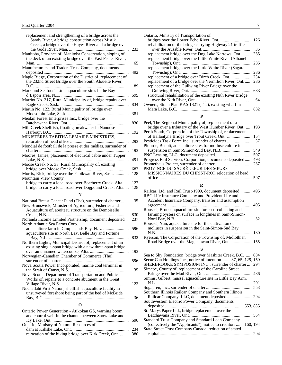| replacement and strengthening of a bridge across the<br>Sandy River, a bridge construction across Mistik<br>Creek, a bridge over the Hayes River and a bridge over       | 233        |
|--------------------------------------------------------------------------------------------------------------------------------------------------------------------------|------------|
| Manitoba, Province of, Manitoba Conservation, sloping of<br>the deck of an existing bridge over the East Fisher River,                                                   |            |
| Manufacturers and Traders Trust Company, documents                                                                                                                       | 65         |
| Maple Ridge, Corporation of the District of, replacement of<br>the 232nd Street Bridge over the South Alouette River,                                                    | 492        |
| Markland Seafoods Ltd., aquaculture sites in the Bay                                                                                                                     | 189        |
| Marriot No. 317, Rural Municipality of, bridge repairs over                                                                                                              | 595<br>834 |
| Martin No. 122, Rural Municipality of, bridge over                                                                                                                       | 381        |
| Meakin Forest Enterprises Inc., bridge over the                                                                                                                          | 830        |
| Mill Creek Shellfish, floating breakwater in Nanoose                                                                                                                     | 192        |
| MINISTÈRES TABITHA LEMAIRE MINISTRIES,                                                                                                                                   | 293        |
| Mondial de football de la presse et des médias, surrender of                                                                                                             | 193        |
| Moores, James, placement of electrical cable under Tupper                                                                                                                | 491        |
| Moose Creek No. 33, Rural Municipality of, existing<br>Morris, Rick, bridge over the Papikwan River, Sask.                                                               | 683<br>128 |
| <b>Mountain View County</b><br>bridge to carry a local road over Bearberry Creek, Alta.<br>bridge to carry a local road over Dogpound Creek, Alta.                       | 127<br>128 |
| N                                                                                                                                                                        |            |
| National Breast Cancer Fund (The), surrender of charter<br>New Brunswick, Minister of Agriculture, Fisheries and<br>Aquaculture of, aboiteau structure on the Demoiselle | 35         |
|                                                                                                                                                                          | 830        |
| Noranda Income Limited Partnership, document deposited<br>North Atlantic Sea Farms Corp.                                                                                 | 237<br>596 |
| aquaculture site in North Bay, Belle Bay and Fortune                                                                                                                     | 832        |
| Northern Lights, Municipal District of, replacement of an<br>existing single-span bridge with a new three-span bridge                                                    |            |
| Norwegian-Canadian Chamber of Commerce (The),                                                                                                                            | 193        |
| Nova Scotia Power Incorporated, marine coal terminal in                                                                                                                  | 596        |
| Nova Scotia, Department of Transportation and Public                                                                                                                     | 35         |
| Works of, repairs to a concrete abutment in the Great<br>Nuchatlaht First Nation, shellfish aquaculture facility in                                                      | 123        |
| unsurveyed foreshore being part of the bed of McBride                                                                                                                    | 36         |
| O                                                                                                                                                                        |            |

| Ontario Power Generation - Atikokan GS, warning boom       |      |
|------------------------------------------------------------|------|
| and control weir in the channel between Snow Lake and      |      |
|                                                            | -596 |
| Ontario, Ministry of Natural Resources of                  |      |
|                                                            |      |
| relocation of the hiking bridge over Kirk Creek, Ont.  380 |      |
|                                                            |      |

| Ontario, Ministry of Transportation of                      |     |
|-------------------------------------------------------------|-----|
|                                                             | 126 |
| rehabilitation of the bridge carrying Highway 21 traffic    |     |
|                                                             | 36  |
| replacement bridge over the Dog Lake Narrows, Ont.          | 235 |
| replacement bridge over the Little White River (Albanel     |     |
|                                                             | 235 |
| replacement bridge over the Little White River (Sagard      |     |
|                                                             | 236 |
|                                                             | 234 |
| replacement of a bridge over the Vermilion River, Ont       | 236 |
| replacement of the Gullwing River Bridge over the           |     |
|                                                             | 683 |
| structural rehabilitation of the existing Nith River Bridge |     |
|                                                             | 64  |
| Owners, Strata Plan KAS 1821 (The), existing wharf in       |     |
|                                                             | 832 |

#### **P**

| 193 |
|-----|
|     |
| 154 |
| 37  |
|     |
| 549 |
| 597 |
| 493 |
| 237 |
|     |
|     |
|     |
|     |

#### **R**

| Railcar, Ltd. and Rail Trust-1999, document deposited<br>RBC Life Insurance Company and Provident Life and | 495 |
|------------------------------------------------------------------------------------------------------------|-----|
| Accident Insurance Company, transfer and assumption                                                        |     |
|                                                                                                            | 495 |
| Roussel, Bruno, aquaculture site for seed-collecting and                                                   |     |
| farming oysters on surface in longlines in Saint-Simon-                                                    |     |
|                                                                                                            | 32  |
| Roussel, Yan, aquaculture site for the cultivation of                                                      |     |
| molluscs in suspension in the Saint-Simon-Sud Bay,                                                         |     |
|                                                                                                            | 130 |
| Ryerson, The Corporation of the Township of, Midlothian                                                    |     |
| Road Bridge over the Magnetawan River, Ont.                                                                | 155 |
|                                                                                                            |     |

#### **S**

| Sea to Sky Foundation, bridge over Mashiter Creek, B.C.<br>684   |  |
|------------------------------------------------------------------|--|
| SecuriCan Holdings Inc., notice of intention 37, 65, 129, 159    |  |
| SHERBROOKE SYMPOSIUM INC., surrender of charter<br>294           |  |
| Simcoe, County of, replacement of the Caroline Street            |  |
| 486                                                              |  |
| Simms, Gilbert, mussel aquaculture site in Little Bay Arm,       |  |
| 291                                                              |  |
| 553                                                              |  |
| Southern Illinois Railcar Company and Southern Illinois          |  |
| 294                                                              |  |
| Southwestern Electric Power Company, documents                   |  |
| 553, 835                                                         |  |
| St. Marys Paper Ltd., bridge replacement over the                |  |
| 554                                                              |  |
| Standard Trust Company and Standard Loan Company                 |  |
| (collectively the "Applicants"), notice to creditors<br>160, 194 |  |
| State Street Trust Company Canada, reduction of stated           |  |
| 294                                                              |  |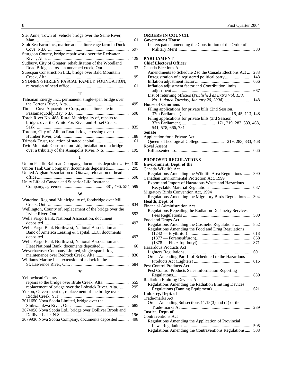<span id="page-9-0"></span>

| Ste. Anne, Town of, vehicle bridge over the Seine River,  |     |
|-----------------------------------------------------------|-----|
|                                                           | 161 |
| Stolt Sea Farm Inc., marine aquaculture cage farm in Duck |     |
|                                                           | 597 |
| Sturgeon County, bridge repair work over the Redwater     |     |
|                                                           | 129 |
| Sudbury, City of Greater, rehabilitation of the Woodland  |     |
|                                                           | 33  |
| Surespan Construction Ltd., bridge over Bald Mountain     |     |
|                                                           | 195 |
| SYDNEY-SHIRLEY PASCAL FAMILY FOUNDATION,                  |     |
|                                                           | 161 |
|                                                           |     |

#### **T**

| Talisman Energy Inc., permanent, single-span bridge over    |     |
|-------------------------------------------------------------|-----|
|                                                             | 495 |
| Timber Cove Aquaculture Corp., aquaculture site in          |     |
|                                                             | 598 |
| Torch River No. 488, Rural Municipality of, repairs to      |     |
| bridges over the White Fox River and Bisset Creek,          |     |
|                                                             | 835 |
| Toronto, City of, Albion Road bridge crossing over the      |     |
|                                                             | 188 |
|                                                             | 161 |
| Twin Mountain Construction Ltd., installation of a bridge   |     |
|                                                             | 195 |
|                                                             |     |
|                                                             |     |
| Union Pacific Railroad Company, documents deposited 66, 130 |     |
|                                                             |     |
| United Afghan Association of Ottawa relocation of head      |     |

| United Afghan Association of Ottawa, relocation of head |  |
|---------------------------------------------------------|--|
|                                                         |  |
| Unity Life of Canada and Superior Life Insurance        |  |
|                                                         |  |

#### **W**

| Waterloo, Regional Municipality of, footbridge over Mill  |     |
|-----------------------------------------------------------|-----|
|                                                           | 834 |
| Wellington, County of, replacement of the bridge over the |     |
|                                                           | 593 |
| Wells Fargo Bank, National Association, document          |     |
|                                                           | 497 |
| Wells Fargo Bank Northwest, National Association and      |     |
| Banc of America Leasing & Capital, LLC, documents         |     |
|                                                           | 497 |
| Wells Fargo Bank Northwest, National Association and      |     |
|                                                           | 66  |
| Weyerhaeuser Company Limited, single-span bridge          |     |
|                                                           | 836 |
| Williams Marine Inc., extension of a dock in the          |     |
|                                                           |     |
|                                                           |     |

#### **Y**

| <b>Yellowhead County</b>                                  |  |
|-----------------------------------------------------------|--|
|                                                           |  |
| replacement of bridge over the Lobstick River, Alta.  295 |  |
| Yukon, Government of, replacement of the bridge over      |  |
|                                                           |  |
| 3011650 Nova Scotia Limited, bridge over the              |  |
|                                                           |  |
| 3074058 Nova Scotia Ltd., bridge over Dolliver Brook and  |  |
|                                                           |  |
| 3079936 Nova Scotia Company, documents deposited 498      |  |
|                                                           |  |

#### **ORDERS IN COUNCIL**

| <b>Government House</b>                                  |     |
|----------------------------------------------------------|-----|
| Letters patent amending the Constitution of the Order of |     |
|                                                          | 383 |
|                                                          |     |

#### **PARLIAMENT**

#### **Chief Electoral Officer**  Canada Elections Act

| Санама глесиону Аси                                               |     |
|-------------------------------------------------------------------|-----|
| Amendments to Schedule 2 to the Canada Elections Act              | 283 |
|                                                                   | 148 |
|                                                                   | 666 |
| Inflation adjustment factor and Contribution limits               |     |
|                                                                   | 667 |
| List of returning officers ( <i>Published as Extra Vol. 138</i> , |     |
|                                                                   | 148 |
| <b>House of Commons</b>                                           |     |
| Filing applications for private bills (2nd Session,               |     |
|                                                                   |     |
| Filing applications for private bills (3rd Session,               |     |
|                                                                   |     |
| 541, 578, 666, 781                                                |     |
| <b>Senate</b>                                                     |     |
| Application for a Private Act                                     |     |
|                                                                   |     |
|                                                                   |     |

| Royal Assent |     |
|--------------|-----|
|              | 666 |

#### **PROPOSED REGULATIONS**

| <b>Environment, Dept. of the</b>                       |     |
|--------------------------------------------------------|-----|
| Canada Wildlife Act                                    |     |
| Regulations Amending the Wildlife Area Regulations     | 390 |
| Canadian Environmental Protection Act, 1999            |     |
| Export and Import of Hazardous Waste and Hazardous     |     |
|                                                        | 687 |
| Migratory Birds Convention Act, 1994                   |     |
| Regulations Amending the Migratory Birds Regulations   | 394 |
| Health, Dept. of                                       |     |
| <b>Financial Administration Act</b>                    |     |
| Regulations Repealing the Radiation Dosimetry Services |     |
|                                                        | 500 |
| Food and Drugs Act                                     |     |
| Regulations Amending the Cosmetic Regulations          | 852 |
| Regulations Amending the Food and Drug Regulations     |     |
|                                                        | 618 |
|                                                        | 868 |
|                                                        | 871 |
| Hazardous Products Act                                 |     |
|                                                        | 601 |
| Order Amending Part II of Schedule I to the Hazardous  |     |
|                                                        | 616 |
| <b>Pest Control Products Act</b>                       |     |
| Pest Control Products Sales Information Reporting      |     |
|                                                        | 839 |
| <b>Radiation Emitting Devices Act</b>                  |     |
| Regulations Amending the Radiation Emitting Devices    |     |
|                                                        | 621 |
| <b>Industry, Dept. of</b>                              |     |
| Trade-marks Act                                        |     |
| Order Amending Subsections 11.18(3) and (4) of the     |     |
|                                                        | 239 |
| Justice, Dept. of                                      |     |
| <b>Contraventions Act</b>                              |     |
| Regulations Amending the Application of Provincial     |     |
|                                                        | 505 |
| Regulations Amending the Contraventions Regulations    | 508 |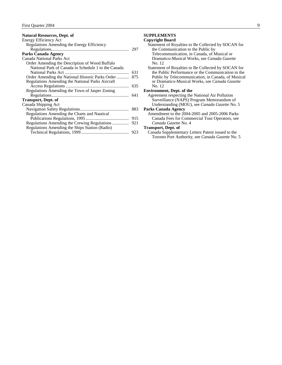<span id="page-10-0"></span>

| <b>Natural Resources, Dept. of</b>                  |     |
|-----------------------------------------------------|-----|
| <b>Energy Efficiency Act</b>                        |     |
| Regulations Amending the Energy Efficiency          |     |
|                                                     |     |
| <b>Parks Canada Agency</b>                          |     |
| Canada National Parks Act                           |     |
| Order Amending the Description of Wood Buffalo      |     |
| National Park of Canada in Schedule 1 to the Canada |     |
|                                                     | 631 |
| Order Amending the National Historic Parks Order    | 875 |
| Regulations Amending the National Parks Aircraft    |     |
|                                                     | 635 |
| Regulations Amending the Town of Jasper Zoning      |     |
|                                                     | 641 |
| <b>Transport, Dept. of</b>                          |     |
| Canada Shipping Act                                 |     |
|                                                     | 883 |
| Regulations Amending the Charts and Nautical        |     |
|                                                     | 915 |
| Regulations Amending the Crewing Regulations        | 921 |
| Regulations Amending the Ships Station (Radio)      |     |
|                                                     | 923 |
|                                                     |     |

#### **SUPPLEMENTS**

#### **Copyright Board**

| Statement of Royalties to Be Collected by SOCAN for |
|-----------------------------------------------------|
| the Communication to the Public by                  |
| Telecommunication, in Canada, of Musical or         |
| Dramatico-Musical Works, see Canada Gazette         |
| No. 12                                              |
| Statement of Royalties to Be Collected by SOCAN for |
| the Public Performance or the Communication to the  |
| Public by Telecommunication, in Canada, of Musical  |
| or Dramatico-Musical Works, see Canada Gazette      |
| No. 12                                              |
| <b>Environment, Dept. of the</b>                    |
| Agreement respecting the National Air Pollution     |
| Surveillance (NAPS) Program Memorandum of           |
| Understanding (MOU), see Canada Gazette No. 5       |
| <b>Parks Canada Agency</b>                          |
| Amendment to the 2004-2005 and 2005-2006 Parks      |
| Canada Fees for Commercial Tour Operators, see      |
| Canada Gazette No. 4                                |
| <b>Transport, Dept. of</b>                          |
| Canada Supplementary Letters Patent issued to the   |

Canada Supplementary Letters Patent issued to the Toronto Port Authority, see *Canada Gazette* No. 5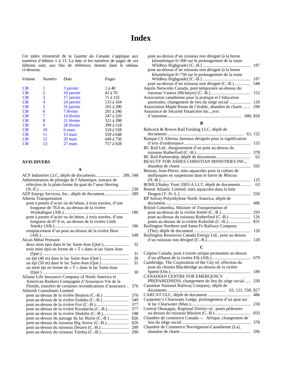## **Index**

<span id="page-11-0"></span>Cet index trimestriel de la *Gazette du Canada* s'applique aux numéros d'édition 1 à 13. La date et les numéros de pages de ces éditions sont, aux fins de référence, donnés dans le tableau ci-dessous.

| Volume | <b>Numéro</b>  | Date       | Pages      |
|--------|----------------|------------|------------|
| 138    |                | 3 janvier  | $1$ à $40$ |
| 138    | $\overline{2}$ | 10 janvier | 41 à 70    |
| 138    | 3              | 17 janvier | 71 à 132   |
| 138    | 4              | 24 janvier | 133 à 164  |
| 138    | 5              | 31 janvier | 165 à 200  |
| 138    | 6              | 7 février  | 201 à 246  |
| 138    | 7              | 14 février | 247 à 320  |
| 138    | 8              | 21 février | 321 à 398  |
| 138    | 9              | 28 février | 399 à 518  |
| 138    | 10             | 6 mars     | 519 à 558  |
| 138    | 11             | 13 mars    | 559 à 648  |
| 138    | 12             | 20 mars    | 649 à 756  |
| 138    | 13             | 27 mars    | 757 à 928  |
|        |                |            |            |

#### **AVIS DIVERS**

| Administration de pilotage de l'Atlantique, travaux de     |     |
|------------------------------------------------------------|-----|
| réfection de la plate-forme du quai de l'anse Herring      |     |
|                                                            | 230 |
| AEP Energy Services, Inc., dépôt de document               | 289 |
| Alberta Transportation                                     |     |
| pont à poutre d'acier ou de béton, à trois travées, d'une  |     |
| longueur de 78.0 m, au-dessus de la rivière                |     |
|                                                            | 186 |
| pont à poutre d'acier ou de béton, à trois travées, d'une  |     |
| longueur de 87.0 m, au-dessus de la rivière Little         |     |
|                                                            | 186 |
| remplacement d'un pont au-dessus de la rivière Bow         |     |
|                                                            | 548 |
| Alcan Métal Primaire                                       |     |
|                                                            | 32  |
| trois mini épis en forme de « T » dans le lac Saint-Jean   |     |
|                                                            | 31  |
|                                                            | 30  |
|                                                            | 31  |
| un mini épi en forme de « T » dans le lac Saint-Jean       |     |
|                                                            | 30  |
| Allianz Life Insurance Company of North America et         |     |
| American Bankers Compagnie d'Assurance-Vie de la           |     |
| Floride, transfert de certaines revendications d'assurance | 376 |
| <b>Allnorth Consultants Limited</b>                        |     |
|                                                            | 376 |
|                                                            | 549 |
|                                                            | 377 |
|                                                            | 377 |
|                                                            | 188 |
| pont au-dessus du passage du lac Burns (C.-B.)             | 826 |
|                                                            | 826 |
|                                                            | 289 |
|                                                            | 290 |

| pont au-dessus d'un ruisseau non désigné (à la borne<br>kilométrique 6+300 sur le prolongement de la route<br>pont au-dessus d'un ruisseau non désigné (à la borne<br>kilométrique $8+750$ sur le prolongement de la route | 187 |
|----------------------------------------------------------------------------------------------------------------------------------------------------------------------------------------------------------------------------|-----|
|                                                                                                                                                                                                                            | 187 |
| pont au-dessus d'un ruisseau non désigné (C.-B.)                                                                                                                                                                           | 548 |
| Aquila Networks Canada, pont temporaire au-dessus du                                                                                                                                                                       |     |
|                                                                                                                                                                                                                            | 152 |
| Association canadienne pour la pratique et l'éducation                                                                                                                                                                     |     |
| pastorales, changement de lieu du siège social                                                                                                                                                                             | 120 |
| Association Maple Route de l'érable, abandon de charte                                                                                                                                                                     | 290 |
| Assurance de Sécurité Financière Inc., avis                                                                                                                                                                                |     |
| d'intention<br>680, 828                                                                                                                                                                                                    |     |

#### **B**

| Babcock & Brown Rail Funding LLC, dépôt de                |     |
|-----------------------------------------------------------|-----|
|                                                           |     |
| Banque CS Alterna, bureaux désignés pour la signification |     |
|                                                           | 155 |
| BC Rail Ltd., élargissement d'un pont au-dessus du        |     |
|                                                           | 378 |
|                                                           | 62  |
| BEAUTY FOR ASHES CHRISTIAN MINISTRIES INC.,               |     |
|                                                           | 592 |
| Bezeau, Jean-Pierre, sites aquacoles pour la culture de   |     |
| mollusques en suspension dans le havre de Miscou          |     |
|                                                           | 125 |
| BOHLI/Staley Trust 2003-A LLT, dépôt de documents         | 63  |
| Boreal Atlantic Limited, sites aquacoles dans la baie     |     |
|                                                           | 550 |
| BP Solvay Polyethylene North America, dépôt de            |     |
|                                                           | 486 |
| British Columbia, Minister of Transportation of           |     |
|                                                           | 293 |
|                                                           | 126 |
| ponts au-dessus de la rivière Koksilah (C.-B.)            | 831 |
| Burlington Northern and Santa Fe Railway Company          |     |
|                                                           | 120 |
| Burlington Resources Canada Energy Ltd., pont au-dessus   |     |
|                                                           | 120 |
|                                                           |     |
|                                                           |     |

| Calpine Canada, pont à travée unique permanent au-dessus | 679 |
|----------------------------------------------------------|-----|
| Cambridge, The Corporation of the City of, réfection du  |     |
| pont du chemin Blackbridge au-dessus de la rivière       |     |
|                                                          | 189 |
| CANADIAN CENTRE FOR EMERGENCY                            |     |
| PREPAREDNESS, changement de lieu du siège social  230    |     |
| Canadian National Railway Company, dépôt de              |     |
|                                                          |     |
|                                                          | 486 |
| Carpenter's Clearwater Lodge, prolongement d'un quai sur |     |
|                                                          | 230 |
| Central Okanagan, Regional District of, ponts pédestres  |     |
|                                                          | 833 |
| Chambre de commerce Canada — Afrique, changement de      |     |
|                                                          | 378 |
| Chambre de Commerce Norvégienne-Canadienne (La),         |     |
|                                                          | 596 |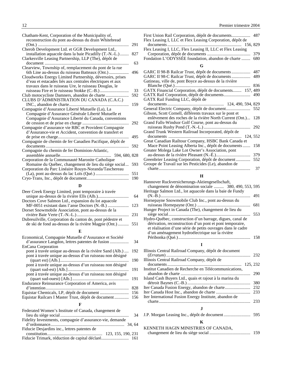| Chatham-Kent, Corporation of the Municipality of,         |     |
|-----------------------------------------------------------|-----|
| reconstruction du pont au-dessus du drain Whitebread      |     |
|                                                           | 291 |
| Cherob Development Ltd. et GGR Development Ltd.,          |     |
| installation aquacole dans la baie Picadilly (T.-N.-L.)   | 827 |
| Clarkesville Leasing Partnership, LLP (The), dépôt de     |     |
| document                                                  | 63  |
| Clearview, Township of, remplacement du pont de la rue    |     |
| 6th Line au-dessus du ruisseau Batteaux (Ont.)            | 496 |
| Cloudworks Energy Limited Partnership, déversoirs, prises |     |
| d'eau et estacades liés aux centrales électriques et aux  |     |
| travaux dans le ruisseau Ure, le ruisseau Douglas, le     |     |
|                                                           | 33  |
| Club motocycliste Damners, abandon de charte              | 592 |
| CLUBS D'ADMINISTRATION DU CANADA (C.A.C.)                 |     |
|                                                           | 159 |
| Compagnie d'Assurance Liberté Mutuelle (La), La           |     |
| Compagnie d'Assurance Générale Liberté Mutuelle et        |     |
| Compagnie d'Assurance Liberté du Canada, conventions      |     |
| de cession et de prise en charge                          | 292 |
| Compagnie d'assurance vie RBC et Provident Compagnie      |     |
| d'Assurance-vie et Accident, convention de transfert et   |     |
|                                                           | 495 |
| Compagnie de chemin de fer Canadien Pacifique, dépôt de   |     |
|                                                           | 592 |
| Compagnie du chemin de fer Dominion-Atlantic,             |     |
| 594, 680, 828                                             |     |
| Corporation de la Communauté Maronite Catholique          |     |
| Romaine du Québec, changement de lieu du siège social     | 593 |
| Corporation du Parc Linéaire Rouyn-Noranda/Taschereau     |     |
|                                                           | 551 |
|                                                           | 190 |
|                                                           |     |
|                                                           |     |

#### **D**

| Deer Creek Energy Limited, pont temporaire à travée       |    |
|-----------------------------------------------------------|----|
|                                                           | 64 |
| Doctors Cove Salmon Ltd., expansion du lot aquacole       |    |
|                                                           |    |
| Dorset Snowmobile Association, pont au-dessus de la       |    |
|                                                           |    |
| Dubreuilville, Corporation du canton de, pont pédestre et |    |
| de ski de fond au-dessus de la rivière Magpie (Ont.) 551  |    |
|                                                           |    |

#### **E**

| Economical, Compagnie Mutuelle d'Assurance et Société    |     |
|----------------------------------------------------------|-----|
| d'assurance Langdon, lettres patentes de fusion          | 34  |
| <b>EnCana Corporation</b>                                |     |
| pont à travée unique au-dessus de la rivière Sand (Alb.) | 192 |
| pont à travée unique au-dessus d'un ruisseau non désigné |     |
|                                                          | 190 |
| pont à travée unique au-dessus d'un ruisseau non désigné |     |
|                                                          | 191 |
| pont à travée unique au-dessus d'un ruisseau non désigné |     |
|                                                          | 191 |
| Endurance Reinsurance Corporation of America, avis       |     |
|                                                          | 828 |
|                                                          | 156 |
| Equistar Railcars I Master Trust, dépôt de document      | 156 |
|                                                          |     |

#### **F**

| Federated Women's Institute of Canada, changement de     |     |
|----------------------------------------------------------|-----|
|                                                          | -34 |
| Fidelity Investments, compagnie d'assurance-vie, demande |     |
|                                                          |     |
| Fiducie Desjardins inc., lettres patentes de             |     |
|                                                          |     |
|                                                          |     |

| First Union Rail Corporation, dépôt de documents 487      |  |
|-----------------------------------------------------------|--|
| Flex Leasing I, LLC et Flex Leasing Corporation, dépôt de |  |
|                                                           |  |
| Flex Leasing I, LLC, Flex Leasing II, LLC et Flex Leasing |  |
|                                                           |  |
| Fondation L'ODYSSÉE foundation, abandon de charte  680    |  |
| G                                                         |  |
|                                                           |  |

| GARC II 98-B Railcar Trust, dépôt de documents           | 487 |
|----------------------------------------------------------|-----|
| GARC II 98-C Railcar Trust, dépôt de documents           | 489 |
| Gatineau, ville de, pont Boyce au-dessus de la rivière   |     |
|                                                          | 836 |
| GATX Financial Corporation, dépôt de documents 157, 489  |     |
|                                                          | 490 |
| GATX Rail Funding LLC, dépôt de                          |     |
|                                                          |     |
|                                                          |     |
|                                                          |     |
| Gibson, Scott Cornell, différents travaux sur le pont et |     |
| enlèvement des roches de la rivière North Current (Ont.) | 128 |
| Grand Falls-Windsor Golf Course, pont au-dessus du       |     |
|                                                          | 292 |
| Grand Trunk Western Railroad Incorporated, dépôt de      |     |
|                                                          |     |
| Great Canadian Railtour Company, HSBC Bank Canada et     |     |
| Mace Point Leasing Alberta Inc., dépôt de documents      | 158 |
| Greater Molega Lake Lot Owner's Association, pont        |     |
|                                                          | 379 |
| Greenbrier Leasing Corporation, dépôt de document        | 552 |
| Groupe de Travail sur les Pesticides (Le), abandon de    |     |
|                                                          | 37  |
|                                                          |     |

#### **H**

| Hannover Ruckversicherungs-Aktiengesellschaft,<br>changement de dénomination sociale  380, 490, 553, 595       |     |
|----------------------------------------------------------------------------------------------------------------|-----|
| Heritage Salmon Ltd., lot aquacole dans la baie de Fundy                                                       |     |
|                                                                                                                | 491 |
| Hornepayne Snowmobile Club Inc., pont au-dessus du                                                             | 681 |
| Hunger Project in Canada (The), changement de lieu du                                                          |     |
|                                                                                                                | 553 |
| Hydro-Québec, construction d'un barrage, digues, canal de                                                      |     |
| dérivation, reconstruction d'un pont et pont temporaire,                                                       |     |
| et réalisation d'une série de petits ouvrages dans le cadre<br>d'un aménagement hydroélectrique sur la rivière |     |
|                                                                                                                | 158 |
|                                                                                                                |     |

#### **I**

| Illinois Central Railroad Company, dépôt de document    |          |
|---------------------------------------------------------|----------|
|                                                         | 232      |
| Illinois Central Railroad Company, dépôt de             |          |
|                                                         | 125, 232 |
| Institut Canadien de Recherche en Télécommunications,   |          |
|                                                         | 290      |
| Island Cash Buyers Ltd., quais et rajout à la marina du |          |
|                                                         | 380      |
|                                                         | 232      |
|                                                         | 233      |
| Iter International Fusion Energy Institute, abandon de  |          |
|                                                         | 233      |
|                                                         |          |
|                                                         |          |

|--|--|--|--|--|--|--|

#### **K**

KENNETH HAGIN MINISTRIES OF CANADA,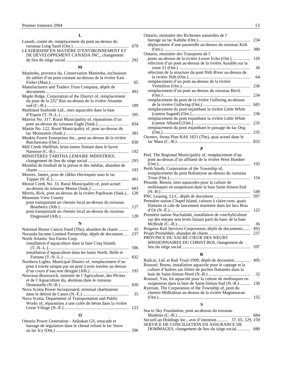| Lanark, comté de, remplacement du pont au-dessus du |  |
|-----------------------------------------------------|--|
|                                                     |  |
|                                                     |  |
| DE DÉVELOPPEMENT CANADA INC., changement            |  |
|                                                     |  |

#### **M**

| Manufacturers and Traders Trust Company, dépôt de                                                                                | 65  |
|----------------------------------------------------------------------------------------------------------------------------------|-----|
|                                                                                                                                  | 492 |
| Maple Ridge, Corporation of the District of, remplacement<br>du pont de la 232 <sup>e</sup> Rue au-dessus de la rivière Alouette |     |
|                                                                                                                                  | 189 |
| Markland Seafoods Ltd., sites aquacoles dans la baie                                                                             |     |
|                                                                                                                                  | 595 |
| Marriot No. 317, Rural Municipality of, réparations d'un                                                                         |     |
|                                                                                                                                  | 834 |
| Martin No. 122, Rural Municipality of, pont au-dessus du                                                                         |     |
| lac Moosomin (Sask.)                                                                                                             | 381 |
| Meakin Forest Enterprises Inc., pont au-dessus de la rivière                                                                     | 830 |
| Mill Creek Shellfish, brise-lames flottant dans le havre                                                                         |     |
|                                                                                                                                  | 192 |
| MINISTÈRES TABITHA LEMAIRE MINISTRIES,                                                                                           |     |
|                                                                                                                                  | 293 |
| Mondial de football de la presse et des médias, abandon de                                                                       |     |
|                                                                                                                                  | 193 |
| Moores, James, pose de câbles électriques sous le lac                                                                            |     |
| Tupper (N.-E.)                                                                                                                   | 491 |
| Moose Creek No. 33, Rural Municipality of, pont actuel                                                                           |     |
|                                                                                                                                  | 683 |
| Morris, Rick, pont au-dessus de la rivière Papikwan (Sask.)                                                                      | 128 |
| <b>Mountain View County</b><br>pont transportant un chemin local au-dessus du ruisseau                                           |     |
|                                                                                                                                  | 127 |
| pont transportant un chemin local au-dessus du ruisseau                                                                          |     |
|                                                                                                                                  | 128 |
|                                                                                                                                  |     |
| N                                                                                                                                |     |

| National Breast Cancer Fund (The), abandon de charte       | 35  |  |
|------------------------------------------------------------|-----|--|
| Noranda Income Limited Partnership, dépôt de document      | 237 |  |
| North Atlantic Sea Farms Corp.                             |     |  |
| installation d'aquaculture dans la baie Cinq Islands       |     |  |
|                                                            | 596 |  |
| installation d'aquaculture dans les baies North, Belle et  |     |  |
|                                                            | 832 |  |
| Northern Lights, Municipal District of, remplacement d'un  |     |  |
| pont à travée unique par un pont à trois travées au-dessus |     |  |
|                                                            | 193 |  |
| Nouveau-Brunswick, ministre de l'Agriculture, des Pêches   |     |  |
| et de l'Aquaculture du, aboiteau dans le ruisseau          |     |  |
|                                                            | 830 |  |
| Nova Scotia Power Incorporated, terminal charbonnier       |     |  |
|                                                            | 35  |  |
| Nova Scotia, Department of Transportation and Public       |     |  |
| Works of, réparations à une culée de béton dans la rivière |     |  |
|                                                            | 123 |  |
|                                                            |     |  |

#### Ontario Power Generation - Atikokan GS, estacade et barrage de régulation dans le chenal reliant le lac Snow au lac Icy (Ont.) .................................................................. 596

| Ontario, ministère des Richesses naturelles de l'          |     |
|------------------------------------------------------------|-----|
|                                                            | 234 |
| déplacement d'une passerelle au-dessus du ruisseau Kirk    | 380 |
| Ontario, ministère des Transports de l'                    |     |
| ponts au-dessus de la rivière Lower Echo (Ont.)            | 126 |
| réfection d'un pont au-dessus de la rivière Ausable sur la |     |
|                                                            | 36  |
| réfection de la structure du pont Nith River au-dessus de  |     |
| remplacement d'un pont au-dessus de la rivière             | 64  |
|                                                            | 236 |
| remplacement d'un pont au-dessus du ruisseau Birch         |     |
|                                                            | 234 |
| remplacement du pont de la rivière Gullwing au-dessus      |     |
|                                                            | 683 |
| remplacement du pont enjambant la rivière Little White     | 236 |
| remplacement du pont enjambant la rivière Little White     |     |
|                                                            | 235 |
| remplacement du pont enjambant le passage du lac Dog       |     |
|                                                            | 235 |
| Owners, Strata Plan KAS 1821 (The), quai actuel dans le    |     |
|                                                            | 832 |

#### **P**

| Peel, The Regional Municipality of, remplacement d'un       |     |
|-------------------------------------------------------------|-----|
| pont au-dessus d'un affluent de la rivière West Humber      |     |
|                                                             | 193 |
| Perth South, Corporation of the Township of,                |     |
| remplacement du pont Ballantyne au-dessus du ruisseau       |     |
|                                                             | 154 |
| Plourde, Benoit, sites aquacoles pour la culture de         |     |
| mollusques en suspension dans la baie Saint-Simon-Sud       |     |
|                                                             | 549 |
|                                                             | 597 |
| Première nation Chapel Island, caisson à claire-voie, quais |     |
| flottants et cale de lancement maritime dans les lacs Bras  |     |
|                                                             | 122 |
| Première nation Nuchatlaht, installation de conchyliculture |     |
| sur des estrans non levés faisant parti du banc de la baie  |     |
|                                                             | 36  |
| Progress Rail Services Corporation, dépôt de documents      | 493 |
|                                                             | 237 |
| PROVINCE DU SACRÉ-CŒUR DES SŒURS                            |     |
| MISSIONNAIRES DU CHRIST-ROI, changement de                  |     |
|                                                             | 597 |
|                                                             |     |

#### **R**

| Roussel, Bruno, installation aquacole pour le captage et la |     |
|-------------------------------------------------------------|-----|
| culture d'huîtres sur filière de poches flottantes dans la  |     |
|                                                             | 32  |
| Roussel, Yan, lot aquacole pour la culture de mollusques en |     |
| suspension dans la baie de Saint-Simon-Sud (N.-B.)          | 130 |
| Ryerson, The Corporation of the Township of, pont du        |     |
| chemin Midlothian au-dessus de la rivière Magnetawan        |     |
|                                                             | 155 |
|                                                             |     |

#### **S**

| Sea to Sky Foundation, pont au-dessus du ruisseau           |  |
|-------------------------------------------------------------|--|
|                                                             |  |
| SecuriCan Holdings Inc., avis d'intention  37, 65, 129, 159 |  |
| SERVICE DE CONCILIATION EN ASSURANCE DE                     |  |
|                                                             |  |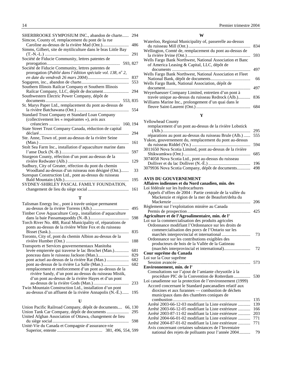<span id="page-14-0"></span>

| SHERBROOKE SYMPOSIUM INC., abandon de charte<br>Simcoe, County of, remplacement du pont de la rue | 294 |
|---------------------------------------------------------------------------------------------------|-----|
| Caroline au-dessus de la rivière Mad (Ont.)                                                       | 486 |
|                                                                                                   |     |
| Simms, Gilbert, site de mytiliculture dans le bras Little Bay                                     |     |
|                                                                                                   | 291 |
| Société de Fiducie Community, lettres patentes de                                                 |     |
|                                                                                                   |     |
| Société de Fiducie Community, lettres patentes de                                                 |     |
| prorogation (Publié dans l'édition spéciale vol. 138, $n^{\circ}$ 2,                              |     |
|                                                                                                   | 837 |
|                                                                                                   | 553 |
| Southern Illinois Railcar Company et Southern Illinois                                            |     |
|                                                                                                   | 294 |
| Southwestern Electric Power Company, dépôt de                                                     |     |
|                                                                                                   |     |
| St. Marys Paper Ltd., remplacement du pont au-dessus de                                           |     |
|                                                                                                   | 554 |
| Standard Trust Company et Standard Loan Company                                                   |     |
| (collectivement les « requérantes »), avis aux                                                    |     |
| 160, 194                                                                                          |     |
| State Street Trust Company Canada, réduction de capital                                           |     |
|                                                                                                   | 294 |
|                                                                                                   |     |
| Ste. Anne, Town of, pont au-dessus de la rivière Seine                                            |     |
|                                                                                                   | 161 |
| Stolt Sea Farm Inc., installation d'aquaculture marine dans                                       |     |
|                                                                                                   | 597 |
| Sturgeon County, réfection d'un pont au-dessus de la                                              |     |
|                                                                                                   | 129 |
| Sudbury, City of Greater, réfection du pont du chemin                                             |     |
| Woodland au-dessus d'un ruisseau non désigné (Ont.)                                               | 33  |
| Surespan Construction Ltd., pont au-dessus du ruisseau                                            |     |
|                                                                                                   | 195 |
| SYDNEY-SHIRLEY PASCAL FAMILY FOUNDATION,                                                          |     |
|                                                                                                   | 161 |
|                                                                                                   |     |
|                                                                                                   |     |

#### **T**

| Timber Cove Aquaculture Corp., installation d'aquaculture<br>Torch River No. 488, Rural Municipality of, réparations de<br>ponts au-dessus de la rivière White Fox et du ruisseau<br>Toronto, City of, pont du chemin Albion au-dessus de la<br>Transports et Services gouvernementaux Manitoba | 495<br>598<br>835<br>188 |
|-------------------------------------------------------------------------------------------------------------------------------------------------------------------------------------------------------------------------------------------------------------------------------------------------|--------------------------|
|                                                                                                                                                                                                                                                                                                 |                          |
|                                                                                                                                                                                                                                                                                                 |                          |
|                                                                                                                                                                                                                                                                                                 |                          |
|                                                                                                                                                                                                                                                                                                 |                          |
|                                                                                                                                                                                                                                                                                                 |                          |
|                                                                                                                                                                                                                                                                                                 |                          |
|                                                                                                                                                                                                                                                                                                 |                          |
|                                                                                                                                                                                                                                                                                                 |                          |
|                                                                                                                                                                                                                                                                                                 |                          |
| levée empierrée qui traverse le lac Brochet (Man.)                                                                                                                                                                                                                                              | 681                      |
|                                                                                                                                                                                                                                                                                                 | 829                      |
|                                                                                                                                                                                                                                                                                                 | 682                      |
|                                                                                                                                                                                                                                                                                                 | 682                      |
| remplacement et renforcement d'un pont au-dessus de la                                                                                                                                                                                                                                          |                          |
| rivière Sandy, d'un pont au-dessus du ruisseau Mistik,                                                                                                                                                                                                                                          |                          |
| d'un pont au-dessus de la rivière Hayes et d'un pont                                                                                                                                                                                                                                            |                          |
|                                                                                                                                                                                                                                                                                                 | 233                      |
| Twin Mountain Construction Ltd., installation d'un pont                                                                                                                                                                                                                                         |                          |
| au-dessus d'un affluent de la rivière Annapolis (N.-É.)                                                                                                                                                                                                                                         | 195                      |

#### **U**

| Union Pacific Railroad Company, dépôt de documents 66, 130 |  |
|------------------------------------------------------------|--|
|                                                            |  |
| United Afghan Association of Ottawa, changement de lieu    |  |
|                                                            |  |
| Unité-Vie du Canada et Compagnie d'assurance-vie           |  |
|                                                            |  |

#### **W**

| Waterloo, Regional Municipality of, passerelle au-dessus  |     |
|-----------------------------------------------------------|-----|
|                                                           | 834 |
| Wellington, Comté de, remplacement du pont au-dessus de   |     |
|                                                           | 593 |
| Wells Fargo Bank Northwest, National Association et Banc  |     |
| of America Leasing & Capital, LLC, dépôt de               |     |
|                                                           | 497 |
| Wells Fargo Bank Northwest, National Association et Fleet |     |
|                                                           | 66  |
| Wells Fargo Bank, National Association, dépôt de          |     |
|                                                           | 497 |
| Weyerhaeuser Company Limited, entretien d'un pont à       |     |
| travée unique au-dessus du ruisseau Redrock (Alb.)        | 836 |
| Williams Marine Inc., prolongement d'un quai dans le      |     |
|                                                           |     |
|                                                           |     |

#### **Y**

| <b>Yellowhead County</b><br>remplacement d'un pont au-dessus de la rivière Lobstick | 295 |
|-------------------------------------------------------------------------------------|-----|
| réparations au pont au-dessus du ruisseau Brule (Alb.)                              | 555 |
| Yukon, gouvernement du, remplacement du pont au-dessus                              |     |
|                                                                                     | 594 |
| 3011650 Nova Scotia Limited, pont au-dessus de la rivière                           |     |
|                                                                                     | 685 |
| 3074058 Nova Scotia Ltd., pont au-dessus du ruisseau                                |     |
|                                                                                     | 196 |
| 3079936 Nova Scotia Company, dépôt de documents                                     | 498 |

#### **AVIS DU GOUVERNEMENT Affaires indiennes et du Nord canadien, min. des**

| Loi fédérale sur les hydrocarbures                         |     |
|------------------------------------------------------------|-----|
| Appels d'offres de 2004 : Partie centrale de la vallée du  |     |
| Mackenzie et région de la mer de Beaufort/delta du         |     |
|                                                            | 206 |
| Règlement sur l'exploitation minière au Canada             |     |
|                                                            | 425 |
| Agriculture et de l'Agroalimentaire, min. de l'            |     |
| Loi sur la commercialisation des produits agricoles        |     |
| Ordonnance modifiant l'Ordonnance sur les droits de        |     |
| commercialisation des porcs de l'Ontario sur les           |     |
|                                                            | 73  |
| Ordonnance sur les contributions exigibles des             |     |
| producteurs de bois de la Vallée de la Gatineau            |     |
|                                                            | 72  |
| Cour suprême du Canada                                     |     |
| Loi sur la Cour suprême                                    |     |
|                                                            | 573 |
| Environnement, min. de l'                                  |     |
| Consultations sur l'ajout de l'amiante chrysotile à la     |     |
| procédure PIC de la Convention de Rotterdam                | 530 |
| Loi canadienne sur la protection de l'environnement (1999) |     |
| Accord concernant le Standard pancanadien relatif aux      |     |
| dioxines et aux furannes — combustion de déchets           |     |
| municipaux dans des chambres coniques de                   |     |
|                                                            | 135 |
| Arrêté 2003-66-12-03 modifiant la Liste extérieure         | 139 |
| Arrêté 2003-66-12-05 modifiant la Liste extérieure         | 166 |
| Arrêté 2003-87-11-02 modifiant la Liste extérieure         | 203 |
| Arrêté 2004-66-01-02 modifiant la Liste extérieure         | 771 |
| Arrêté 2004-87-01-02 modifiant la Liste extérieure         | 771 |
| Avis concernant certaines substances de l'Inventaire       |     |
| national des rejets de polluants pour l'année 2004         | 79  |
|                                                            |     |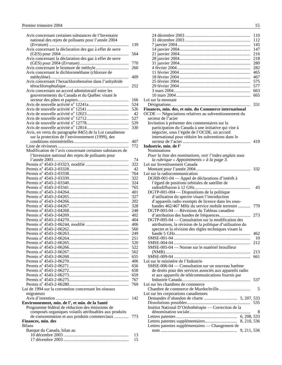| Avis concernant certaines substances de l'Inventaire      |            |
|-----------------------------------------------------------|------------|
| national des rejets de polluants pour l'année 2004        |            |
|                                                           | 139        |
| Avis concernant la déclaration des gaz à effet de serre   |            |
| Avis concernant la déclaration des gaz à effet de serre   | 564        |
|                                                           | 770        |
|                                                           | 260        |
| Avis concernant le dichlorométhane (chlorure de           |            |
|                                                           | 409        |
| Avis concernant l'hexachlorobenzène dans l'anhydride      |            |
|                                                           | 252        |
| Avis concernant un accord administratif entre les         |            |
| gouvernements du Canada et du Québec visant le            |            |
|                                                           | 166        |
|                                                           | 524        |
|                                                           | 526        |
|                                                           | 42         |
|                                                           | 527        |
|                                                           | 529        |
|                                                           | 330        |
| Avis, en vertu du paragraphe 84(5) de la Loi canadienne   |            |
| sur la protection de l'environnement (1999), des          |            |
|                                                           | 407        |
|                                                           | 772        |
| Modification de l'avis concernant certaines substances de |            |
| l'Inventaire national des rejets de polluants pour        |            |
|                                                           | 74         |
|                                                           | 322        |
|                                                           | 42         |
|                                                           | 764        |
|                                                           | 322        |
|                                                           | 324        |
|                                                           | 765        |
|                                                           | 401        |
|                                                           | 327        |
|                                                           | 202        |
|                                                           | 328        |
|                                                           | 248        |
|                                                           | 402        |
|                                                           | 404        |
|                                                           | 406        |
|                                                           | 560        |
|                                                           | 249        |
|                                                           | 251<br>520 |
|                                                           |            |
|                                                           | 522<br>562 |
|                                                           | 655        |
|                                                           | 406        |
|                                                           | 656        |
|                                                           | 658        |
|                                                           | 659        |
|                                                           | 767        |
|                                                           | 769        |
| Loi de 1994 sur la convention concernant les oiseaux      |            |
| migrateurs                                                |            |
|                                                           | 142        |
| Environnement, min. de l', et min. de la Santé            |            |
| Programme fédéral de réduction des émissions de           |            |
| composés organiques volatils attribuables aux produits    |            |
| de consommation et aux produits commerciaux               | 773        |
| Finances, min. des                                        |            |
| <b>Bilans</b>                                             |            |
| Banque du Canada, bilan au                                |            |
|                                                           | 13         |
|                                                           | 15         |

|                                                            | 110  |
|------------------------------------------------------------|------|
|                                                            | 112  |
|                                                            | 145  |
|                                                            | 147  |
|                                                            | 216  |
|                                                            | 218  |
|                                                            | 280  |
|                                                            | 282  |
|                                                            | 465  |
|                                                            | 467  |
|                                                            | 575  |
|                                                            | 577  |
|                                                            | 663  |
|                                                            | 665  |
| Loi sur la monnaie                                         |      |
|                                                            | 331  |
| Finances, min. des, et min. du Commerce international      |      |
| OCDE - Négociations relatives au subventionnement du       |      |
| secteur de l'acier                                         |      |
| Invitation à présenter des commentaires sur la             |      |
| participation du Canada à une initiative qui vise à        |      |
| négocier, sous l'égide de l'OCDE, un accord                |      |
| international pour réduire les subventions dans le         |      |
|                                                            | 419  |
| Industrie, min. de l'                                      |      |
| <b>Nominations</b>                                         |      |
| Pour la liste des nominations, voir l'index anglais sous   |      |
| la rubrique « Appointments » à la page 3.                  |      |
| Loi sur Investissement Canada                              |      |
|                                                            | 332  |
| Loi sur la radiocommunication                              |      |
| DGRB-001-04 - Appel de déclarations d'intérêt à            |      |
| l'égard de positions orbitales de satellite de             |      |
|                                                            | 43   |
| DGTP-001-004 - Dispositions de la politique                |      |
| d'utilisation du spectre visant l'introduction             |      |
| d'appareils radio exempts de licence dans les sous-        |      |
| bandes 462/467 MHz du service mobile terrestre             | 779  |
| DGTP-003-04 — Révisions du Tableau canadien                |      |
|                                                            | 273  |
| DGTP-005-04 — Consultation sur la modification des         |      |
| attributions, la révision de la politique d'utilisation du |      |
| spectre et la révision des règles techniques visant la     |      |
|                                                            | 462  |
| SMSE-001-04                                                | - 10 |
|                                                            | 212  |
| SMSE-005-04 — Norme sur le matériel brouilleur             |      |
|                                                            | 213  |
|                                                            | 661  |
| Loi sur le ministère de l'Industrie                        |      |
| SMSE-006-04 - Consultation sur un nouveau barème           |      |
| de droits pour des services associés aux appareils radio   |      |
| et aux appareils de télécommunications fournis par         |      |
|                                                            |      |
| Loi sur les chambres de commerce                           |      |
|                                                            | 5    |
| Loi sur les corporations canadiennes                       |      |
|                                                            |      |
|                                                            |      |
| Institut National D'Orthothérapie — Correction de la       |      |
|                                                            | 8    |
|                                                            |      |
| 8, 210, 536                                                |      |
| Lettres patentes supplémentaires — Changement de           |      |
|                                                            |      |
|                                                            |      |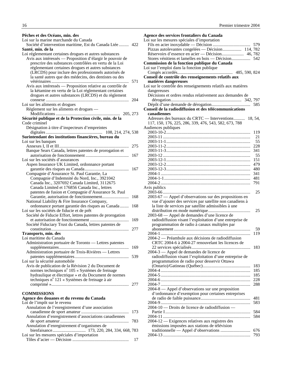<span id="page-16-0"></span>

| Pêches et des Océans, min. des                                                                                 |     |
|----------------------------------------------------------------------------------------------------------------|-----|
| Loi sur la marine marchande du Canada                                                                          |     |
| Société d'intervention maritime, Est du Canada Ltée                                                            | 422 |
| Santé, min. de la                                                                                              |     |
| Loi réglementant certaines drogues et autres substances                                                        |     |
| Avis aux intéressés — Proposition d'élargir le pouvoir de                                                      |     |
| prescrire des substances contrôlées en vertu de la Loi                                                         |     |
| réglementant certaines drogues et autres substances                                                            |     |
| (LRCDS) pour inclure des professionnels autorisés de<br>la santé autres que des médecins, des dentistes ou des |     |
|                                                                                                                | 571 |
| Avis aux intéressés — Proposition relative au contrôle de                                                      |     |
| la kétamine en vertu de la Loi réglementant certaines                                                          |     |
| drogues et autres substances (LRCDS) et du règlement                                                           |     |
|                                                                                                                | 204 |
| Loi sur les aliments et drogues                                                                                |     |
| Règlement sur les aliments et drogues —                                                                        |     |
|                                                                                                                |     |
| Sécurité publique et de la Protection civile, min. de la                                                       |     |
| Code criminel                                                                                                  |     |
| Désignation à titre d'inspecteurs d'empreintes                                                                 |     |
|                                                                                                                |     |
| Surintendant des institutions financières, bureau du                                                           |     |
| Loi sur les banques                                                                                            |     |
| Banque Sears Canada, lettres patentes de prorogation et                                                        | 275 |
|                                                                                                                | 167 |
| Loi sur les sociétés d'assurances                                                                              |     |
| Aspen Insurance UK Limited, ordonnance portant                                                                 |     |
|                                                                                                                | 167 |
| Compagnie d'Assurance St. Paul Garantie, La                                                                    |     |
| Compagnie d'Indemnité du Nord, Inc., 3921042                                                                   |     |
| Canada Inc., 3207692 Canada Limited, 3112675                                                                   |     |
| Canada Limited et 176856 Canada Inc., lettres                                                                  |     |
| patentes de fusion et Compagnie d'Assurance St. Paul                                                           |     |
|                                                                                                                | 168 |
| National Liability & Fire Insurance Company,                                                                   |     |
| ordonnance portant garantie des risques au Canada                                                              | 168 |
| Loi sur les sociétés de fiducie et de prêt                                                                     |     |
| Société de Fiducie Effort, lettres patentes de prorogation                                                     |     |
|                                                                                                                | 169 |
| Société Fiduciary Trust du Canada, lettres patentes de                                                         | 277 |
| Transports, min. des                                                                                           |     |
| Loi maritime du Canada                                                                                         |     |
| Administration portuaire de Toronto - Lettres patentes                                                         |     |
|                                                                                                                | 169 |
| Administration portuaire de Trois-Rivières — Lettres                                                           |     |
|                                                                                                                | 539 |
| Loi sur la sécurité automobile                                                                                 |     |
| Avis de publication de la Révision 2 du Document de                                                            |     |
| normes techniques nº 105 « Systèmes de freinage                                                                |     |
| hydraulique et électrique » et du Document de normes                                                           |     |
| techniques nº 121 « Systèmes de freinage à air                                                                 |     |
|                                                                                                                |     |
|                                                                                                                |     |
| <b>COMMISSIONS</b><br>Agence des douanes et du revenu du Canada                                                |     |
| Loi de l'impôt sur le revenu                                                                                   |     |
| Annulation de l'enregistrement d'une association                                                               |     |
|                                                                                                                |     |

| <i>i</i> minimum de i emegistrement a une association  |  |
|--------------------------------------------------------|--|
|                                                        |  |
| Annulation d'enregistrement d'associations canadiennes |  |
|                                                        |  |
| Annulation d'enregistrement d'organismes de            |  |
|                                                        |  |
| Loi sur les mesures spéciales d'importation            |  |
|                                                        |  |
|                                                        |  |

| Agence des services frontaliers du Canada                    |            |
|--------------------------------------------------------------|------------|
| Loi sur les mesures spéciales d'importation                  |            |
|                                                              |            |
| Pizzas autolevantes congelées — Décision 114,782             |            |
| Réservoirs d'essence en acier — Décision 46,782              |            |
|                                                              |            |
| Commission de la fonction publique du Canada                 |            |
| Loi sur l'emploi dans la fonction publique                   |            |
| Conseil de contrôle des renseignements relatifs aux          |            |
| matières dangereuses                                         |            |
| Loi sur le contrôle des renseignements relatifs aux matières |            |
| dangereuses                                                  |            |
| Décisions et ordres rendus relativement aux demandes de      |            |
|                                                              |            |
|                                                              |            |
| Conseil de la radiodiffusion et des télécommunications       |            |
| canadiennes                                                  |            |
| Adresses des bureaux du CRTC — Interventions 18, 54,         |            |
| 117, 150, 176, 225, 286, 339, 476, 543, 582, 673, 788        |            |
| Audiences publiques                                          |            |
|                                                              | 119        |
|                                                              | 21         |
|                                                              | 55         |
|                                                              | 228        |
|                                                              | 341        |
|                                                              | 55         |
|                                                              | 151        |
|                                                              | 479        |
|                                                              | 480<br>341 |
|                                                              | 481        |
|                                                              | 791        |
| Avis publics                                                 |            |
| $2003 - 66$                                                  | 25         |
| 2003-67 — Appel d'observations sur des propositions en       |            |
| vue d'ajouter des services par satellite non canadiens à     |            |
| la liste de services par satellite admissibles à une         |            |
|                                                              | 25         |
| 2003-68 - Appel de demandes d'une licence de                 |            |
| radiodiffusion visant l'exploitation d'une entreprise de     |            |
| programmation de radio à canaux multiples par                |            |
|                                                              | 59         |
|                                                              | 119        |
| 2004-2 — Préambule aux décisions de radiodiffusion           |            |
| CRTC 2004-6 à 2004-27 renouvelant les licences de            |            |
| 2004-3 — Appel de demandes de licence de                     | 183        |
| radiodiffusion visant l'exploitation d'une entreprise de     |            |
| programmation de radio pour desservir Ottawa                 |            |
|                                                              | 183        |
|                                                              | 185        |
|                                                              | 185        |
|                                                              | 228        |
|                                                              | 288        |
| 2004-8 — Appel d'observations sur une proposition            |            |
| d'ordonnance d'exemption pour certaines entreprises          |            |
|                                                              | 481        |
|                                                              | 583        |
| 2004-10 — Droits de licence de radiodiffusion —              |            |
|                                                              | 584        |
|                                                              | 584        |
| 2004-12 - Exigences relatives aux registres des              |            |
| émissions imposées aux stations de télévision                |            |
|                                                              | 676        |
|                                                              | 793        |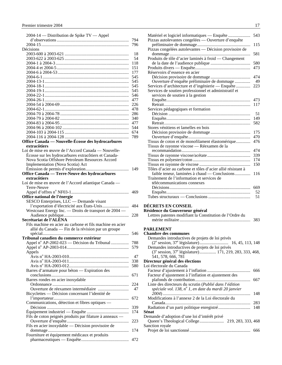<span id="page-17-0"></span>

| 2004-14 - Distribution de Spike TV - Appel                |            |
|-----------------------------------------------------------|------------|
|                                                           | 794        |
|                                                           | 796        |
| Décisions                                                 |            |
|                                                           | 18         |
|                                                           | 54         |
|                                                           | 118        |
|                                                           | 151        |
|                                                           | 177<br>545 |
|                                                           | 545        |
|                                                           | 545        |
|                                                           | 545        |
|                                                           | 546        |
|                                                           | 477        |
|                                                           | 226        |
|                                                           | 478        |
|                                                           | 286        |
|                                                           | 340        |
|                                                           | 477        |
|                                                           | 544        |
|                                                           | 674        |
|                                                           | 789        |
| Office Canada — Nouvelle-Écosse des hydrocarbures         |            |
| extracôtiers                                              |            |
| Loi de mise en œuvre de l'Accord Canada - Nouvelle-       |            |
| Écosse sur les hydrocarbures extracôtiers et Canada-      |            |
| Nova Scotia Offshore Petroleum Resources Accord           |            |
| Implementation (Nova Scotia) Act                          |            |
|                                                           |            |
| Office Canada — Terre-Neuve des hydrocarbures             |            |
| extracôtiers                                              |            |
| Loi de mise en œuvre de l'Accord atlantique Canada —      |            |
| Terre-Neuve                                               |            |
|                                                           | 469        |
| Office national de l'énergie                              |            |
| SESCO Enterprises, LLC — Demande visant                   |            |
| l'exportation d'électricité aux États-Unis                | 484        |
| Westcoast Energy Inc. - Droits de transport de 2004 -     |            |
|                                                           | 228        |
| Secrétariat de l'ALÉNA                                    |            |
| Fils machine en acier au carbone et fils machine en acier |            |
| allié du Canada — Fin de la révision par un groupe        |            |
|                                                           | 546        |
| Tribunal canadien du commerce extérieur                   |            |
| Appel n° AP-2002-023 — Décision du Tribunal               | 788        |
|                                                           | 579        |
| Appels                                                    |            |
|                                                           | 47         |
|                                                           | 338        |
|                                                           | 580        |
| Barres d'armature pour béton — Expiration des             |            |
| Barres rondes en acier inoxydable                         | 671        |
|                                                           |            |
|                                                           |            |
|                                                           | 224        |
|                                                           | 47         |
| Bicyclettes — Décision concernant l'identité de           |            |
|                                                           | 672        |
| Communications, détection et fibres optiques —            |            |
|                                                           | 339        |
|                                                           | 174        |
| Fils de coton peignés produits par filature à anneaux -   |            |
|                                                           | 223        |
| Fils en acier inoxydable — Décision provisoire de         |            |
|                                                           | 174        |
| Fourniture et équipement médicaux et produits             | 472        |

| Matériel et logiciel informatiques — Enquête                                   | 543 |
|--------------------------------------------------------------------------------|-----|
| Pizzas autolevantes congelées — Ouverture d'enquête                            |     |
| Pizzas congelées autolevantes - Décision provisoire de                         | 115 |
| Produits de tôle d'acier laminés à froid — Changement                          | 581 |
|                                                                                | 580 |
|                                                                                | 473 |
| Réservoirs d'essence en acier                                                  |     |
|                                                                                | 474 |
| Ouverture d'enquête préliminaire de dommage                                    | 49  |
| Services d'architecture et d'ingénierie — Enquête                              | 223 |
| Services de soutien professionnel et administratif et                          |     |
| services de soutien à la gestion                                               |     |
|                                                                                | 473 |
|                                                                                | 117 |
| Services pédagogiques et formation                                             |     |
|                                                                                | 51  |
|                                                                                | 149 |
|                                                                                | 582 |
| Stores vénitiens et lamelles en bois                                           |     |
|                                                                                | 175 |
|                                                                                | 470 |
| Tissus de coton et de monofilament élastomérique                               | 476 |
| Tissus de rayonne viscose - Réexamen de la                                     |     |
|                                                                                | 474 |
|                                                                                | 339 |
|                                                                                | 174 |
|                                                                                | 150 |
| Tôles d'acier au carbone et tôles d'acier allié résistant à                    |     |
| faible teneur, laminées à chaud — Conclusions                                  | 116 |
| Traitement de l'information et services de                                     |     |
| télécommunications connexes                                                    |     |
|                                                                                | 669 |
|                                                                                | 52  |
|                                                                                | 51  |
|                                                                                |     |
| DÉCRETS EN CONSEIL                                                             |     |
| Résidence du Gouverneur général                                                |     |
| Lettres patentes modifiant la Constitution de l'Ordre du                       |     |
|                                                                                | 383 |
| PARLEMENT                                                                      |     |
| <b>Chambre des communes</b>                                                    |     |
| Demandes introductives de projets de loi privés                                |     |
|                                                                                |     |
| Demandes introductives de projets de loi privés                                |     |
| (3 <sup>e</sup> session, 37 <sup>e</sup> législature) 171, 219, 283, 333, 468, |     |
| 541, 578, 666, 781                                                             |     |
| Directeur général des élections                                                |     |
| Loi électorale du Canada                                                       |     |
|                                                                                | 666 |
|                                                                                |     |

Facteur d'ajustement à l'inflation et ajustement des

Liste des directeurs du scrutin (*Publié dans l*'*édition spéciale vol. 138, n<sup>o</sup> 1, en date du mardi 20 janvier* 

Modifications à l'annexe 2 de la Loi électorale du

Demande d'adoption d'une loi d'intérêt privé

**Sénat** 

Sanction royale

plafonds de contribution.................................................. 667

*2004*) ............................................................................... 148

Canada............................................................................. 283 Radiation d'un parti politique enregistré............................. 148

Queen's Theological College...................... 219, 283, 333, 468

Projet de loi sanctionné....................................................... 666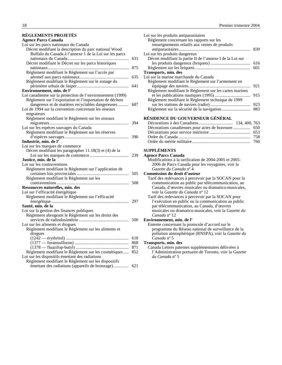#### <span id="page-18-0"></span>**RÈGLEMENTS PROJETÉS**

| <b>Agence Parcs Canada</b>                                 |     |
|------------------------------------------------------------|-----|
| Loi sur les parcs nationaux du Canada                      |     |
| Décret modifiant la description du parc national Wood      |     |
| Buffalo du Canada à l'annexe 1 de la Loi sur les parcs     |     |
|                                                            | 631 |
| Décret modifiant le Décret sur les parcs historiques       |     |
|                                                            | 875 |
| Règlement modifiant le Règlement sur l'accès par           |     |
|                                                            | 635 |
| Règlement modifiant le Règlement sur le zonage du          |     |
|                                                            | 641 |
| Environnement, min. de l'                                  |     |
| Loi canadienne sur la protection de l'environnement (1999) |     |
| Règlement sur l'exportation et l'importation de déchets    |     |
| dangereux et de matières recyclables dangereuses           | 687 |
| Loi de 1994 sur la convention concernant les oiseaux       |     |
|                                                            |     |
| migrateurs                                                 |     |
| Règlement modifiant le Règlement sur les oiseaux           |     |
|                                                            | 394 |
| Loi sur les espèces sauvages du Canada                     |     |
| Règlement modifiant le Règlement sur les réserves          |     |
|                                                            | 390 |
| Industrie, min. de l'                                      |     |
| Loi sur les marques de commerce                            |     |
| Décret modifiant les paragraphes 11.18(3) et (4) de la     |     |
|                                                            | 239 |
| Justice, min. de la                                        |     |
| Loi sur les contraventions                                 |     |
| Règlement modifiant le Règlement sur l'application de      |     |
|                                                            | 505 |
| Règlement modifiant le Règlement sur les                   |     |
|                                                            | 508 |
| Ressources naturelles, min. des                            |     |
| Loi sur l'efficacité énergétique                           |     |
| Règlement modifiant le Règlement sur l'efficacité          |     |
|                                                            | 297 |
| Santé, min. de la                                          |     |
| Loi sur la gestion des finances publiques                  |     |
| Règlement abrogeant le Règlement sur les droits des        |     |
|                                                            | 500 |
| Loi sur les aliments et drogues                            |     |
| Règlement modifiant le Règlement sur les aliments et       |     |
| drogues                                                    |     |
|                                                            | 618 |
|                                                            | 868 |
|                                                            | 871 |
| Règlement modifiant le Règlement sur les cosmétiques       | 852 |
| Loi sur les dispositifs émettant des radiations            |     |
| Règlement modifiant le Règlement sur les dispositifs       |     |
|                                                            |     |
|                                                            |     |

| Loi sur les produits antiparasitaires                     |     |
|-----------------------------------------------------------|-----|
| Règlement concernant les rapports sur les                 |     |
| renseignements relatifs aux ventes de produits            |     |
|                                                           | 839 |
| Loi sur les produits dangereux                            |     |
| Décret modifiant la partie II de l'annexe I de la Loi sur |     |
|                                                           | 616 |
|                                                           | 601 |
| Transports, min. des                                      |     |
| Loi sur la marine marchande du Canada                     |     |
| Règlement modifiant le Règlement sur l'armement en        |     |
|                                                           | 921 |
| Règlement modifiant le Règlement sur les cartes marines   |     |
|                                                           | 915 |
| Règlement modifiant le Règlement technique de 1999        |     |
|                                                           | 923 |
|                                                           | 883 |
|                                                           |     |
| RÉSIDENCE DU GOUVERNEUR GÉNÉRAL                           |     |
|                                                           |     |
| Décorations canadiennes pour actes de bravoure 650        |     |
|                                                           | 653 |
|                                                           | 758 |

Ordre du mérite militaire..................................................... 760

#### **SUPPLÉMENTS**

#### **Agence Parcs Canada**

| Modifications à la tarification de 2004-2005 et 2005- |
|-------------------------------------------------------|
| 2006 de Parcs Canada pour les voyagistes, voir la     |
| Gazette du Canada nº 4                                |

#### **Commission du droit d'auteur**

Tarif des redevances à percevoir par la SOCAN pour la communication au public par télécommunication, au Canada, d'œuvres musicales ou dramatico-musicales, voir la *Gazette du Canada* nº 12

Tarif des redevances à percevoir par la SOCAN pour l'exécution en public ou la communication au public par télécommunication, au Canada, d'œuvres musicales ou dramatico-musicales, voir la *Gazette du Canada* nº 12

#### **Environnement, min. de l'**

Entente concernant la protocole d'accord sur le programme du Réseau national de surveillance de la pollution atmosphérique (RNSPA), voir la *Gazette du Canada* nº 5

#### **Transports, min. des**

Canada Lettres patentes supplémentaires délivrées à l'Administration portuaire de Toronto, voir la *Gazette du Canada* nº 5